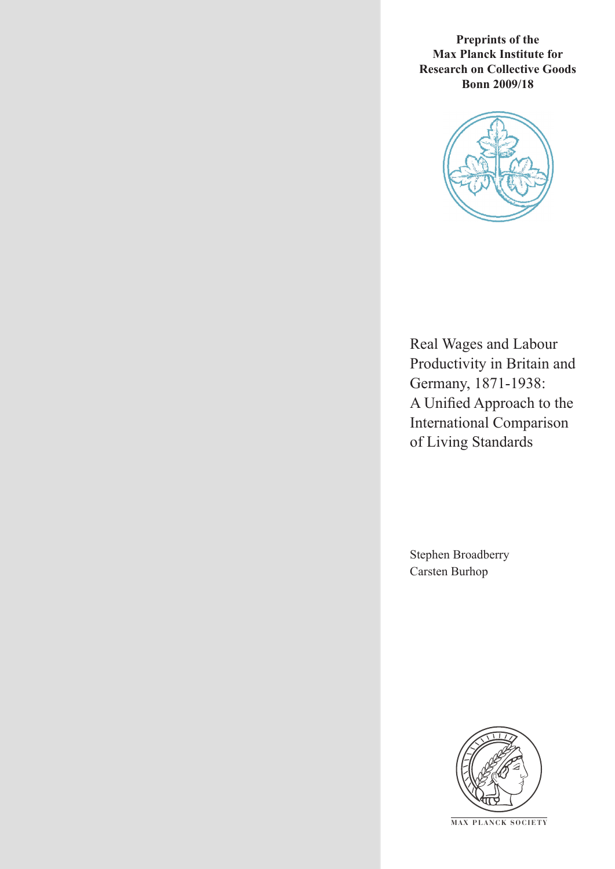**Preprints of the Max Planck Institute for Research on Collective Goods Bonn 2009/18**



Real Wages and Labour Productivity in Britain and Germany, 1871-1938: A Unified Approach to the International Comparison of Living Standards

Stephen Broadberry Carsten Burhop

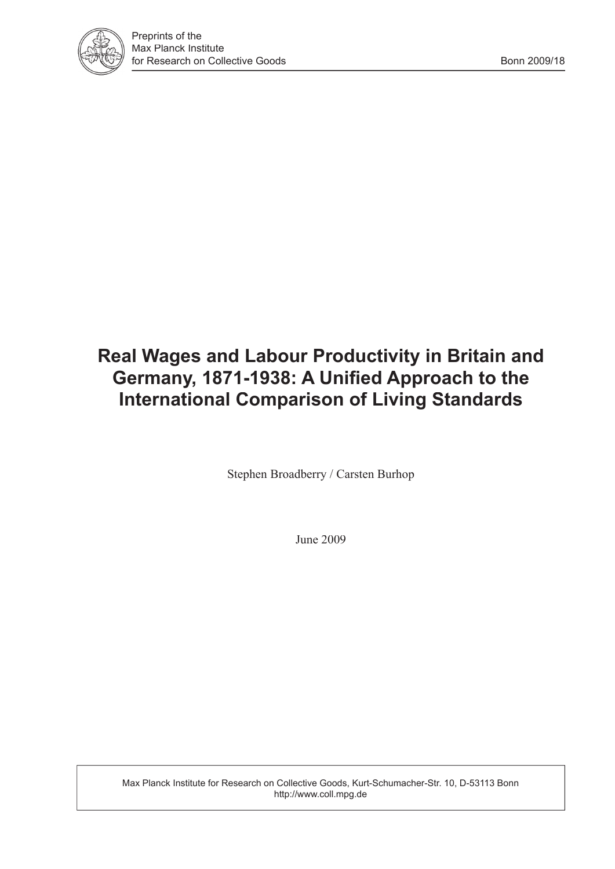

# **Real Wages and Labour Productivity in Britain and Germany, 1871-1938: A Unified Approach to the International Comparison of Living Standards**

Stephen Broadberry / Carsten Burhop

June 2009

Max Planck Institute for Research on Collective Goods, Kurt-Schumacher-Str. 10, D-53113 Bonn http://www.coll.mpg.de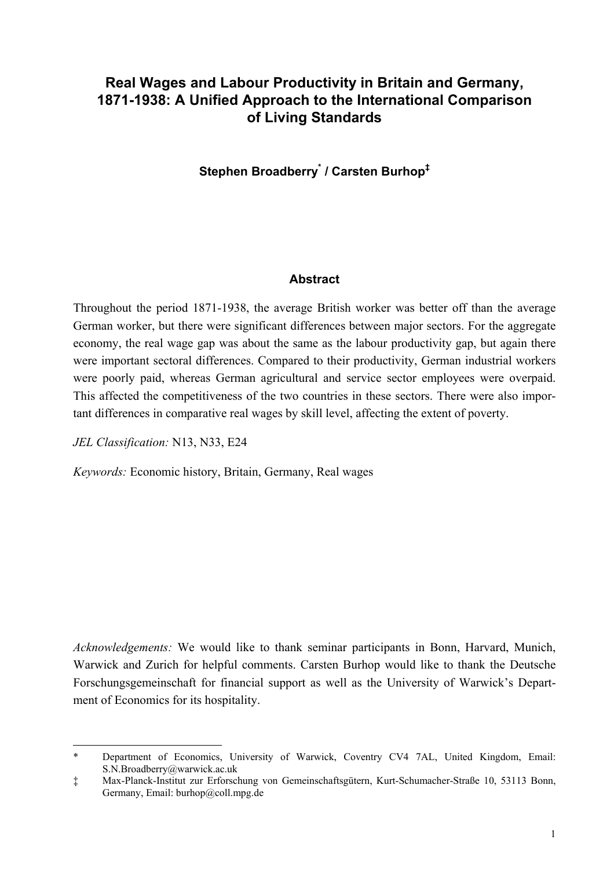# **Real Wages and Labour Productivity in Britain and Germany, 1871-1938: A Unified Approach to the International Comparison of Living Standards**

### **Stephen Broadberry\* / Carsten Burhop‡**

#### **Abstract**

Throughout the period 1871-1938, the average British worker was better off than the average German worker, but there were significant differences between major sectors. For the aggregate economy, the real wage gap was about the same as the labour productivity gap, but again there were important sectoral differences. Compared to their productivity, German industrial workers were poorly paid, whereas German agricultural and service sector employees were overpaid. This affected the competitiveness of the two countries in these sectors. There were also important differences in comparative real wages by skill level, affecting the extent of poverty.

*JEL Classification:* N13, N33, E24

 $\overline{a}$ 

*Keywords:* Economic history, Britain, Germany, Real wages

*Acknowledgements:* We would like to thank seminar participants in Bonn, Harvard, Munich, Warwick and Zurich for helpful comments. Carsten Burhop would like to thank the Deutsche Forschungsgemeinschaft for financial support as well as the University of Warwick's Department of Economics for its hospitality.

<sup>\*</sup> Department of Economics, University of Warwick, Coventry CV4 7AL, United Kingdom, Email: S.N.Broadberry@warwick.ac.uk

<sup>‡</sup> Max-Planck-Institut zur Erforschung von Gemeinschaftsgütern, Kurt-Schumacher-Straße 10, 53113 Bonn, Germany, Email: burhop@coll.mpg.de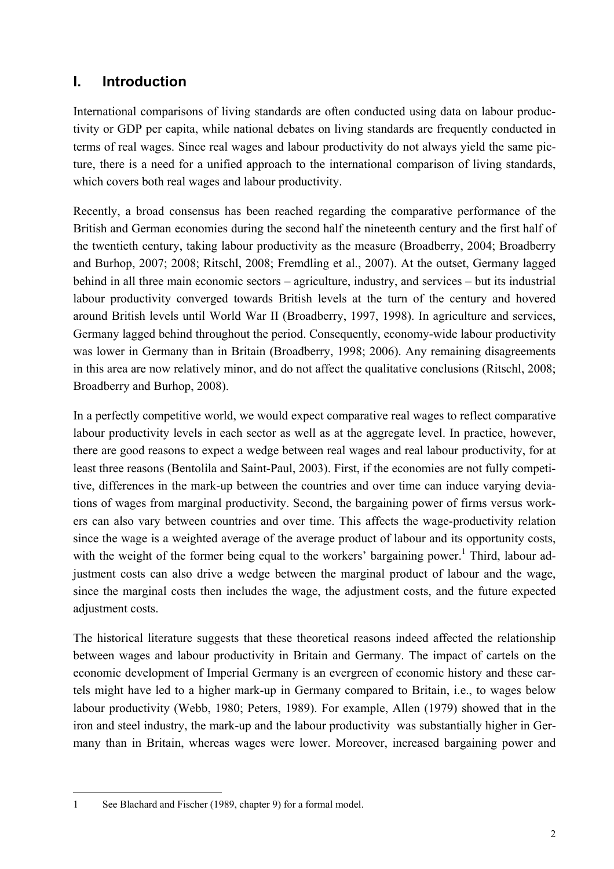# **I. Introduction**

International comparisons of living standards are often conducted using data on labour productivity or GDP per capita, while national debates on living standards are frequently conducted in terms of real wages. Since real wages and labour productivity do not always yield the same picture, there is a need for a unified approach to the international comparison of living standards, which covers both real wages and labour productivity.

Recently, a broad consensus has been reached regarding the comparative performance of the British and German economies during the second half the nineteenth century and the first half of the twentieth century, taking labour productivity as the measure (Broadberry, 2004; Broadberry and Burhop, 2007; 2008; Ritschl, 2008; Fremdling et al., 2007). At the outset, Germany lagged behind in all three main economic sectors – agriculture, industry, and services – but its industrial labour productivity converged towards British levels at the turn of the century and hovered around British levels until World War II (Broadberry, 1997, 1998). In agriculture and services, Germany lagged behind throughout the period. Consequently, economy-wide labour productivity was lower in Germany than in Britain (Broadberry, 1998; 2006). Any remaining disagreements in this area are now relatively minor, and do not affect the qualitative conclusions (Ritschl, 2008; Broadberry and Burhop, 2008).

In a perfectly competitive world, we would expect comparative real wages to reflect comparative labour productivity levels in each sector as well as at the aggregate level. In practice, however, there are good reasons to expect a wedge between real wages and real labour productivity, for at least three reasons (Bentolila and Saint-Paul, 2003). First, if the economies are not fully competitive, differences in the mark-up between the countries and over time can induce varying deviations of wages from marginal productivity. Second, the bargaining power of firms versus workers can also vary between countries and over time. This affects the wage-productivity relation since the wage is a weighted average of the average product of labour and its opportunity costs, with the weight of the former being equal to the workers' bargaining power.<sup>1</sup> Third, labour adjustment costs can also drive a wedge between the marginal product of labour and the wage, since the marginal costs then includes the wage, the adjustment costs, and the future expected adjustment costs.

The historical literature suggests that these theoretical reasons indeed affected the relationship between wages and labour productivity in Britain and Germany. The impact of cartels on the economic development of Imperial Germany is an evergreen of economic history and these cartels might have led to a higher mark-up in Germany compared to Britain, i.e., to wages below labour productivity (Webb, 1980; Peters, 1989). For example, Allen (1979) showed that in the iron and steel industry, the mark-up and the labour productivity was substantially higher in Germany than in Britain, whereas wages were lower. Moreover, increased bargaining power and

j 1 See Blachard and Fischer (1989, chapter 9) for a formal model.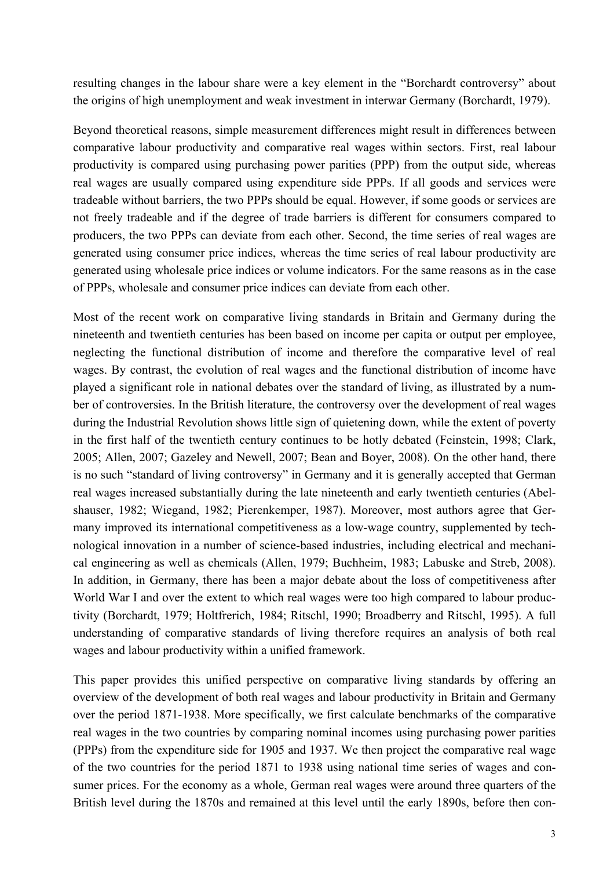resulting changes in the labour share were a key element in the "Borchardt controversy" about the origins of high unemployment and weak investment in interwar Germany (Borchardt, 1979).

Beyond theoretical reasons, simple measurement differences might result in differences between comparative labour productivity and comparative real wages within sectors. First, real labour productivity is compared using purchasing power parities (PPP) from the output side, whereas real wages are usually compared using expenditure side PPPs. If all goods and services were tradeable without barriers, the two PPPs should be equal. However, if some goods or services are not freely tradeable and if the degree of trade barriers is different for consumers compared to producers, the two PPPs can deviate from each other. Second, the time series of real wages are generated using consumer price indices, whereas the time series of real labour productivity are generated using wholesale price indices or volume indicators. For the same reasons as in the case of PPPs, wholesale and consumer price indices can deviate from each other.

Most of the recent work on comparative living standards in Britain and Germany during the nineteenth and twentieth centuries has been based on income per capita or output per employee, neglecting the functional distribution of income and therefore the comparative level of real wages. By contrast, the evolution of real wages and the functional distribution of income have played a significant role in national debates over the standard of living, as illustrated by a number of controversies. In the British literature, the controversy over the development of real wages during the Industrial Revolution shows little sign of quietening down, while the extent of poverty in the first half of the twentieth century continues to be hotly debated (Feinstein, 1998; Clark, 2005; Allen, 2007; Gazeley and Newell, 2007; Bean and Boyer, 2008). On the other hand, there is no such "standard of living controversy" in Germany and it is generally accepted that German real wages increased substantially during the late nineteenth and early twentieth centuries (Abelshauser, 1982; Wiegand, 1982; Pierenkemper, 1987). Moreover, most authors agree that Germany improved its international competitiveness as a low-wage country, supplemented by technological innovation in a number of science-based industries, including electrical and mechanical engineering as well as chemicals (Allen, 1979; Buchheim, 1983; Labuske and Streb, 2008). In addition, in Germany, there has been a major debate about the loss of competitiveness after World War I and over the extent to which real wages were too high compared to labour productivity (Borchardt, 1979; Holtfrerich, 1984; Ritschl, 1990; Broadberry and Ritschl, 1995). A full understanding of comparative standards of living therefore requires an analysis of both real wages and labour productivity within a unified framework.

This paper provides this unified perspective on comparative living standards by offering an overview of the development of both real wages and labour productivity in Britain and Germany over the period 1871-1938. More specifically, we first calculate benchmarks of the comparative real wages in the two countries by comparing nominal incomes using purchasing power parities (PPPs) from the expenditure side for 1905 and 1937. We then project the comparative real wage of the two countries for the period 1871 to 1938 using national time series of wages and consumer prices. For the economy as a whole, German real wages were around three quarters of the British level during the 1870s and remained at this level until the early 1890s, before then con-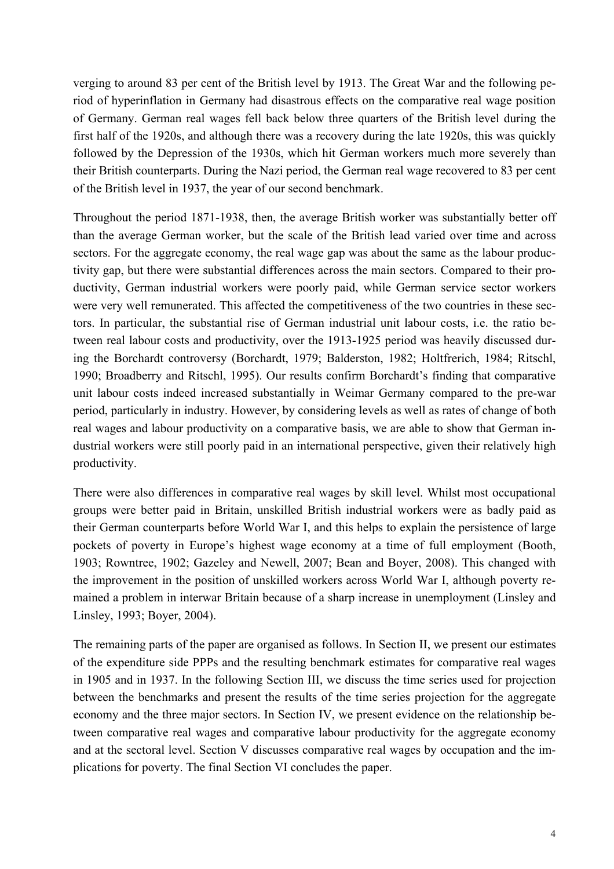verging to around 83 per cent of the British level by 1913. The Great War and the following period of hyperinflation in Germany had disastrous effects on the comparative real wage position of Germany. German real wages fell back below three quarters of the British level during the first half of the 1920s, and although there was a recovery during the late 1920s, this was quickly followed by the Depression of the 1930s, which hit German workers much more severely than their British counterparts. During the Nazi period, the German real wage recovered to 83 per cent of the British level in 1937, the year of our second benchmark.

Throughout the period 1871-1938, then, the average British worker was substantially better off than the average German worker, but the scale of the British lead varied over time and across sectors. For the aggregate economy, the real wage gap was about the same as the labour productivity gap, but there were substantial differences across the main sectors. Compared to their productivity, German industrial workers were poorly paid, while German service sector workers were very well remunerated. This affected the competitiveness of the two countries in these sectors. In particular, the substantial rise of German industrial unit labour costs, i.e. the ratio between real labour costs and productivity, over the 1913-1925 period was heavily discussed during the Borchardt controversy (Borchardt, 1979; Balderston, 1982; Holtfrerich, 1984; Ritschl, 1990; Broadberry and Ritschl, 1995). Our results confirm Borchardt's finding that comparative unit labour costs indeed increased substantially in Weimar Germany compared to the pre-war period, particularly in industry. However, by considering levels as well as rates of change of both real wages and labour productivity on a comparative basis, we are able to show that German industrial workers were still poorly paid in an international perspective, given their relatively high productivity.

There were also differences in comparative real wages by skill level. Whilst most occupational groups were better paid in Britain, unskilled British industrial workers were as badly paid as their German counterparts before World War I, and this helps to explain the persistence of large pockets of poverty in Europe's highest wage economy at a time of full employment (Booth, 1903; Rowntree, 1902; Gazeley and Newell, 2007; Bean and Boyer, 2008). This changed with the improvement in the position of unskilled workers across World War I, although poverty remained a problem in interwar Britain because of a sharp increase in unemployment (Linsley and Linsley, 1993; Boyer, 2004).

The remaining parts of the paper are organised as follows. In Section II, we present our estimates of the expenditure side PPPs and the resulting benchmark estimates for comparative real wages in 1905 and in 1937. In the following Section III, we discuss the time series used for projection between the benchmarks and present the results of the time series projection for the aggregate economy and the three major sectors. In Section IV, we present evidence on the relationship between comparative real wages and comparative labour productivity for the aggregate economy and at the sectoral level. Section V discusses comparative real wages by occupation and the implications for poverty. The final Section VI concludes the paper.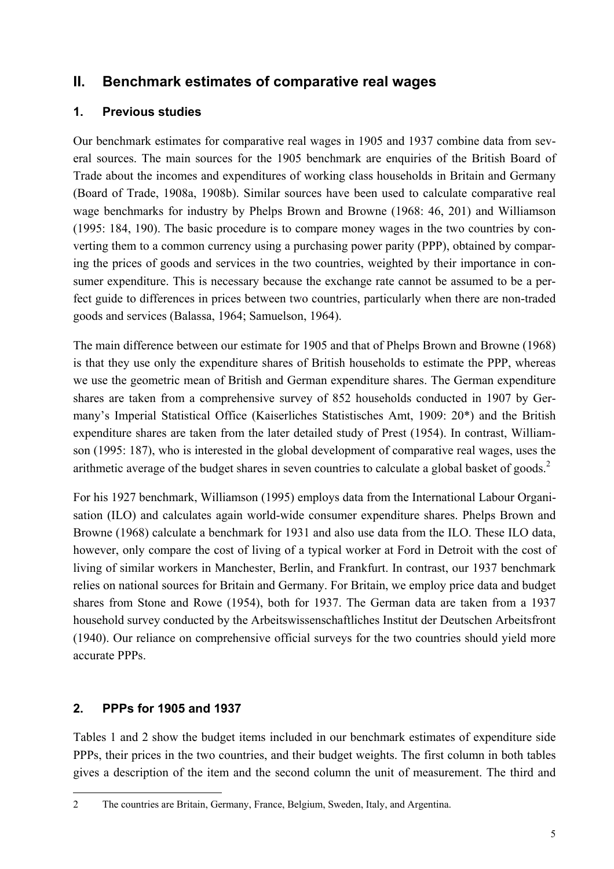# **II. Benchmark estimates of comparative real wages**

# **1. Previous studies**

Our benchmark estimates for comparative real wages in 1905 and 1937 combine data from several sources. The main sources for the 1905 benchmark are enquiries of the British Board of Trade about the incomes and expenditures of working class households in Britain and Germany (Board of Trade, 1908a, 1908b). Similar sources have been used to calculate comparative real wage benchmarks for industry by Phelps Brown and Browne (1968: 46, 201) and Williamson (1995: 184, 190). The basic procedure is to compare money wages in the two countries by converting them to a common currency using a purchasing power parity (PPP), obtained by comparing the prices of goods and services in the two countries, weighted by their importance in consumer expenditure. This is necessary because the exchange rate cannot be assumed to be a perfect guide to differences in prices between two countries, particularly when there are non-traded goods and services (Balassa, 1964; Samuelson, 1964).

The main difference between our estimate for 1905 and that of Phelps Brown and Browne (1968) is that they use only the expenditure shares of British households to estimate the PPP, whereas we use the geometric mean of British and German expenditure shares. The German expenditure shares are taken from a comprehensive survey of 852 households conducted in 1907 by Germany's Imperial Statistical Office (Kaiserliches Statistisches Amt, 1909: 20\*) and the British expenditure shares are taken from the later detailed study of Prest (1954). In contrast, Williamson (1995: 187), who is interested in the global development of comparative real wages, uses the arithmetic average of the budget shares in seven countries to calculate a global basket of goods.<sup>2</sup>

For his 1927 benchmark, Williamson (1995) employs data from the International Labour Organisation (ILO) and calculates again world-wide consumer expenditure shares. Phelps Brown and Browne (1968) calculate a benchmark for 1931 and also use data from the ILO. These ILO data, however, only compare the cost of living of a typical worker at Ford in Detroit with the cost of living of similar workers in Manchester, Berlin, and Frankfurt. In contrast, our 1937 benchmark relies on national sources for Britain and Germany. For Britain, we employ price data and budget shares from Stone and Rowe (1954), both for 1937. The German data are taken from a 1937 household survey conducted by the Arbeitswissenschaftliches Institut der Deutschen Arbeitsfront (1940). Our reliance on comprehensive official surveys for the two countries should yield more accurate PPPs.

# **2. PPPs for 1905 and 1937**

j

Tables 1 and 2 show the budget items included in our benchmark estimates of expenditure side PPPs, their prices in the two countries, and their budget weights. The first column in both tables gives a description of the item and the second column the unit of measurement. The third and

<sup>2</sup> The countries are Britain, Germany, France, Belgium, Sweden, Italy, and Argentina.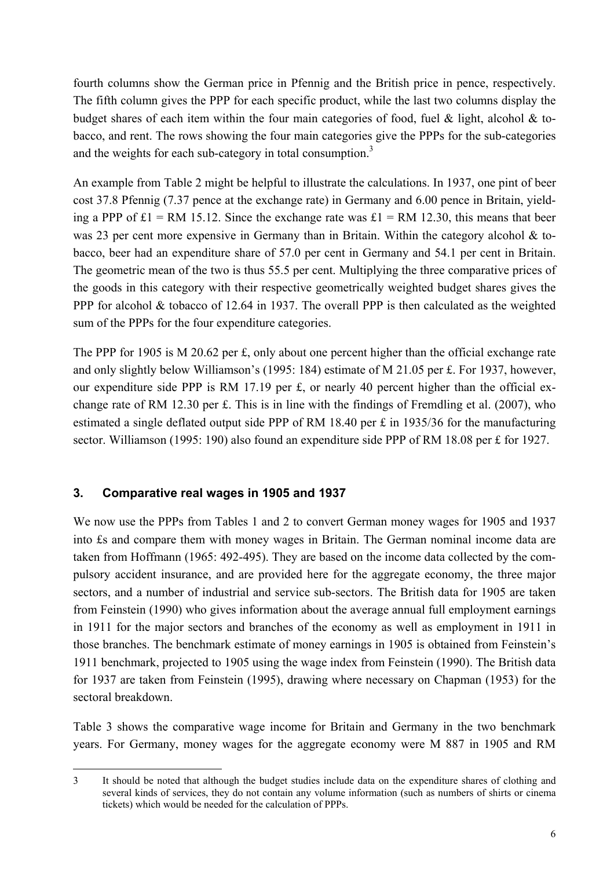fourth columns show the German price in Pfennig and the British price in pence, respectively. The fifth column gives the PPP for each specific product, while the last two columns display the budget shares of each item within the four main categories of food, fuel  $\&$  light, alcohol  $\&$  tobacco, and rent. The rows showing the four main categories give the PPPs for the sub-categories and the weights for each sub-category in total consumption.<sup>3</sup>

An example from Table 2 might be helpful to illustrate the calculations. In 1937, one pint of beer cost 37.8 Pfennig (7.37 pence at the exchange rate) in Germany and 6.00 pence in Britain, yielding a PPP of  $£1 = RM$  15.12. Since the exchange rate was  $£1 = RM$  12.30, this means that beer was 23 per cent more expensive in Germany than in Britain. Within the category alcohol & tobacco, beer had an expenditure share of 57.0 per cent in Germany and 54.1 per cent in Britain. The geometric mean of the two is thus 55.5 per cent. Multiplying the three comparative prices of the goods in this category with their respective geometrically weighted budget shares gives the PPP for alcohol & tobacco of 12.64 in 1937. The overall PPP is then calculated as the weighted sum of the PPPs for the four expenditure categories.

The PPP for 1905 is M 20.62 per £, only about one percent higher than the official exchange rate and only slightly below Williamson's (1995: 184) estimate of M 21.05 per £. For 1937, however, our expenditure side PPP is RM 17.19 per £, or nearly 40 percent higher than the official exchange rate of RM 12.30 per £. This is in line with the findings of Fremdling et al. (2007), who estimated a single deflated output side PPP of RM 18.40 per £ in 1935/36 for the manufacturing sector. Williamson (1995: 190) also found an expenditure side PPP of RM 18.08 per £ for 1927.

# **3. Comparative real wages in 1905 and 1937**

We now use the PPPs from Tables 1 and 2 to convert German money wages for 1905 and 1937 into £s and compare them with money wages in Britain. The German nominal income data are taken from Hoffmann (1965: 492-495). They are based on the income data collected by the compulsory accident insurance, and are provided here for the aggregate economy, the three major sectors, and a number of industrial and service sub-sectors. The British data for 1905 are taken from Feinstein (1990) who gives information about the average annual full employment earnings in 1911 for the major sectors and branches of the economy as well as employment in 1911 in those branches. The benchmark estimate of money earnings in 1905 is obtained from Feinstein's 1911 benchmark, projected to 1905 using the wage index from Feinstein (1990). The British data for 1937 are taken from Feinstein (1995), drawing where necessary on Chapman (1953) for the sectoral breakdown.

Table 3 shows the comparative wage income for Britain and Germany in the two benchmark years. For Germany, money wages for the aggregate economy were M 887 in 1905 and RM

<sup>-</sup>3 It should be noted that although the budget studies include data on the expenditure shares of clothing and several kinds of services, they do not contain any volume information (such as numbers of shirts or cinema tickets) which would be needed for the calculation of PPPs.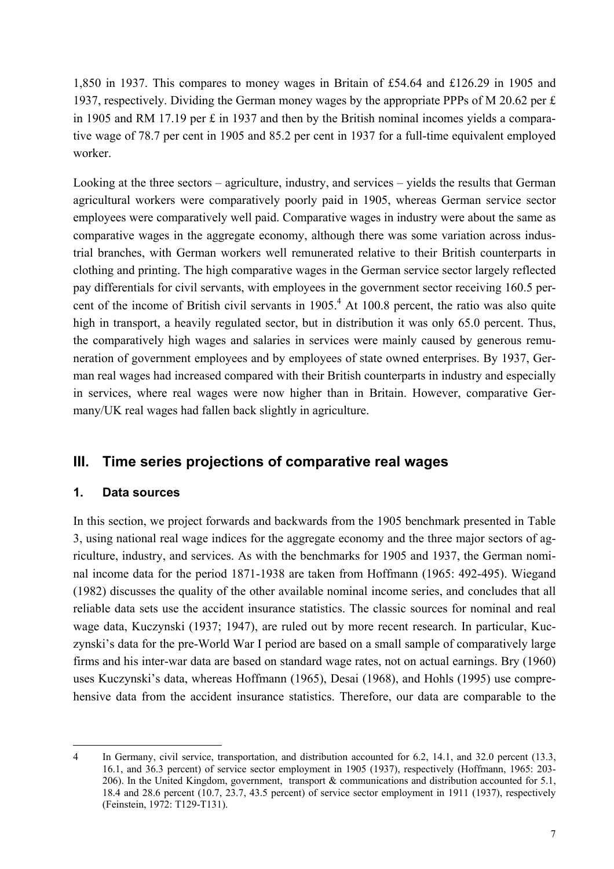1,850 in 1937. This compares to money wages in Britain of £54.64 and £126.29 in 1905 and 1937, respectively. Dividing the German money wages by the appropriate PPPs of M 20.62 per £ in 1905 and RM 17.19 per £ in 1937 and then by the British nominal incomes yields a comparative wage of 78.7 per cent in 1905 and 85.2 per cent in 1937 for a full-time equivalent employed worker.

Looking at the three sectors – agriculture, industry, and services – yields the results that German agricultural workers were comparatively poorly paid in 1905, whereas German service sector employees were comparatively well paid. Comparative wages in industry were about the same as comparative wages in the aggregate economy, although there was some variation across industrial branches, with German workers well remunerated relative to their British counterparts in clothing and printing. The high comparative wages in the German service sector largely reflected pay differentials for civil servants, with employees in the government sector receiving 160.5 percent of the income of British civil servants in  $1905<sup>4</sup>$  At 100.8 percent, the ratio was also quite high in transport, a heavily regulated sector, but in distribution it was only 65.0 percent. Thus, the comparatively high wages and salaries in services were mainly caused by generous remuneration of government employees and by employees of state owned enterprises. By 1937, German real wages had increased compared with their British counterparts in industry and especially in services, where real wages were now higher than in Britain. However, comparative Germany/UK real wages had fallen back slightly in agriculture.

# **III. Time series projections of comparative real wages**

### **1. Data sources**

 $\overline{a}$ 

In this section, we project forwards and backwards from the 1905 benchmark presented in Table 3, using national real wage indices for the aggregate economy and the three major sectors of agriculture, industry, and services. As with the benchmarks for 1905 and 1937, the German nominal income data for the period 1871-1938 are taken from Hoffmann (1965: 492-495). Wiegand (1982) discusses the quality of the other available nominal income series, and concludes that all reliable data sets use the accident insurance statistics. The classic sources for nominal and real wage data, Kuczynski (1937; 1947), are ruled out by more recent research. In particular, Kuczynski's data for the pre-World War I period are based on a small sample of comparatively large firms and his inter-war data are based on standard wage rates, not on actual earnings. Bry (1960) uses Kuczynski's data, whereas Hoffmann (1965), Desai (1968), and Hohls (1995) use comprehensive data from the accident insurance statistics. Therefore, our data are comparable to the

<sup>4</sup> In Germany, civil service, transportation, and distribution accounted for 6.2, 14.1, and 32.0 percent (13.3, 16.1, and 36.3 percent) of service sector employment in 1905 (1937), respectively (Hoffmann, 1965: 203- 206). In the United Kingdom, government, transport & communications and distribution accounted for 5.1, 18.4 and 28.6 percent (10.7, 23.7, 43.5 percent) of service sector employment in 1911 (1937), respectively (Feinstein, 1972: T129-T131).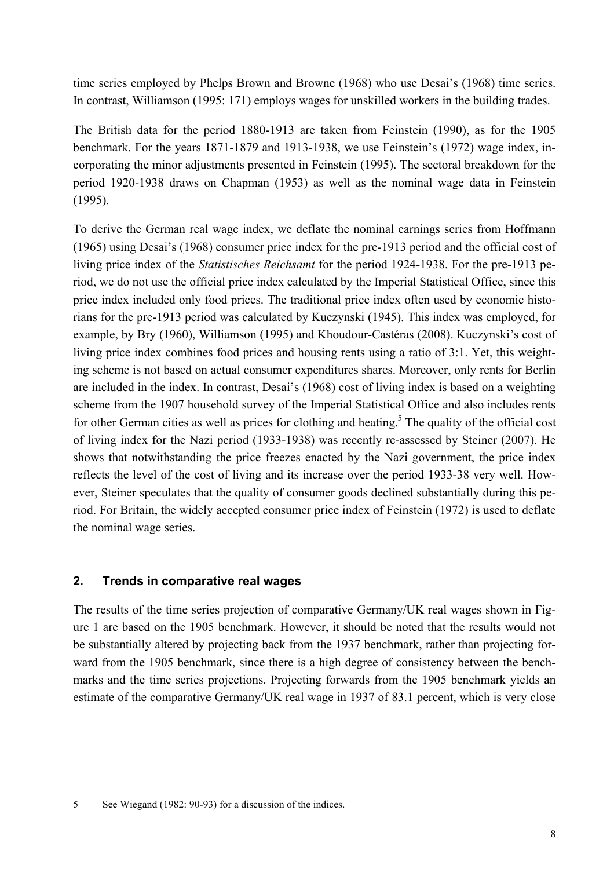time series employed by Phelps Brown and Browne (1968) who use Desai's (1968) time series. In contrast, Williamson (1995: 171) employs wages for unskilled workers in the building trades.

The British data for the period 1880-1913 are taken from Feinstein (1990), as for the 1905 benchmark. For the years 1871-1879 and 1913-1938, we use Feinstein's (1972) wage index, incorporating the minor adjustments presented in Feinstein (1995). The sectoral breakdown for the period 1920-1938 draws on Chapman (1953) as well as the nominal wage data in Feinstein (1995).

To derive the German real wage index, we deflate the nominal earnings series from Hoffmann (1965) using Desai's (1968) consumer price index for the pre-1913 period and the official cost of living price index of the *Statistisches Reichsamt* for the period 1924-1938. For the pre-1913 period, we do not use the official price index calculated by the Imperial Statistical Office, since this price index included only food prices. The traditional price index often used by economic historians for the pre-1913 period was calculated by Kuczynski (1945). This index was employed, for example, by Bry (1960), Williamson (1995) and Khoudour-Castéras (2008). Kuczynski's cost of living price index combines food prices and housing rents using a ratio of 3:1. Yet, this weighting scheme is not based on actual consumer expenditures shares. Moreover, only rents for Berlin are included in the index. In contrast, Desai's (1968) cost of living index is based on a weighting scheme from the 1907 household survey of the Imperial Statistical Office and also includes rents for other German cities as well as prices for clothing and heating.<sup>5</sup> The quality of the official cost of living index for the Nazi period (1933-1938) was recently re-assessed by Steiner (2007). He shows that notwithstanding the price freezes enacted by the Nazi government, the price index reflects the level of the cost of living and its increase over the period 1933-38 very well. However, Steiner speculates that the quality of consumer goods declined substantially during this period. For Britain, the widely accepted consumer price index of Feinstein (1972) is used to deflate the nominal wage series.

# **2. Trends in comparative real wages**

The results of the time series projection of comparative Germany/UK real wages shown in Figure 1 are based on the 1905 benchmark. However, it should be noted that the results would not be substantially altered by projecting back from the 1937 benchmark, rather than projecting forward from the 1905 benchmark, since there is a high degree of consistency between the benchmarks and the time series projections. Projecting forwards from the 1905 benchmark yields an estimate of the comparative Germany/UK real wage in 1937 of 83.1 percent, which is very close

j

<sup>5</sup> See Wiegand (1982: 90-93) for a discussion of the indices.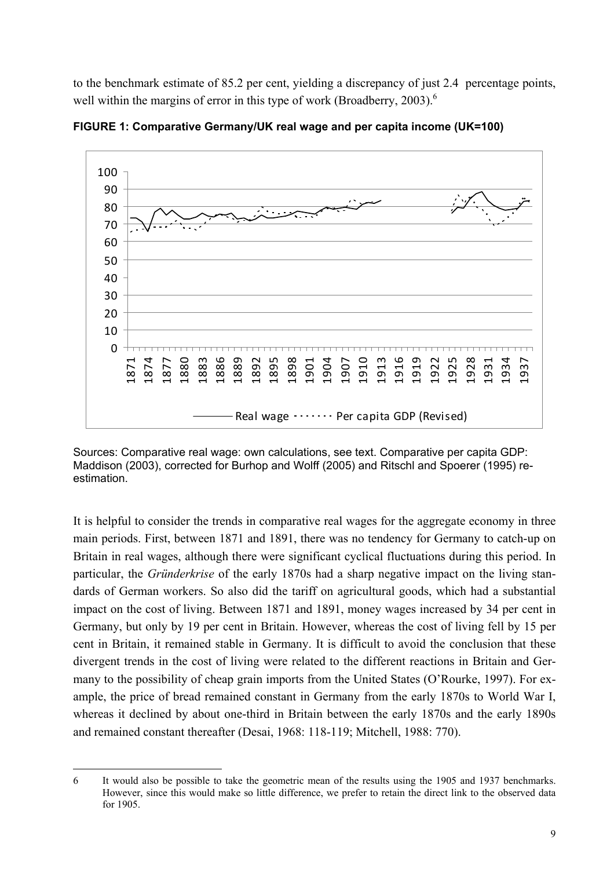to the benchmark estimate of 85.2 per cent, yielding a discrepancy of just 2.4 percentage points, well within the margins of error in this type of work (Broadberry, ).<sup>6</sup>



**FIGURE 1: Comparative Germany/UK real wage and per capita income (UK=100)** 

Sources: Comparative real wage: own calculations, see text. Comparative per capita GDP: Maddison (2003), corrected for Burhop and Wolff (2005) and Ritschl and Spoerer (1995) reestimation.

It is helpful to consider the trends in comparative real wages for the aggregate economy in three main periods. First, between 1871 and 1891, there was no tendency for Germany to catch-up on Britain in real wages, although there were significant cyclical fluctuations during this period. In particular, the *Gründerkrise* of the early 1870s had a sharp negative impact on the living standards of German workers. So also did the tariff on agricultural goods, which had a substantial impact on the cost of living. Between 1871 and 1891, money wages increased by 34 per cent in Germany, but only by 19 per cent in Britain. However, whereas the cost of living fell by 15 per cent in Britain, it remained stable in Germany. It is difficult to avoid the conclusion that these divergent trends in the cost of living were related to the different reactions in Britain and Germany to the possibility of cheap grain imports from the United States (O'Rourke, 1997). For example, the price of bread remained constant in Germany from the early 1870s to World War I, whereas it declined by about one-third in Britain between the early 1870s and the early 1890s and remained constant thereafter (Desai, 1968: 118-119; Mitchell, 1988: 770).

<sup>-</sup>6 It would also be possible to take the geometric mean of the results using the 1905 and 1937 benchmarks. However, since this would make so little difference, we prefer to retain the direct link to the observed data for 1905.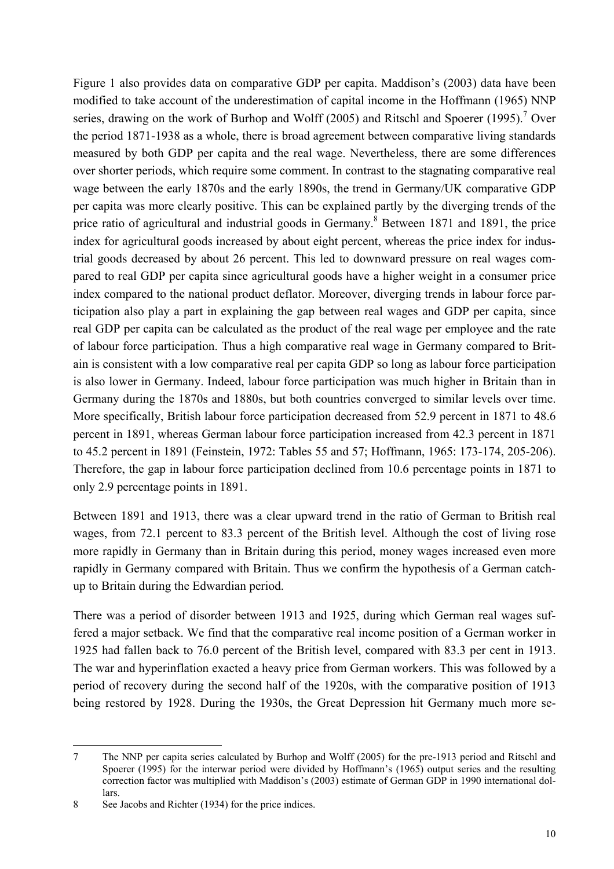Figure 1 also provides data on comparative GDP per capita. Maddison's (2003) data have been modified to take account of the underestimation of capital income in the Hoffmann (1965) NNP series, drawing on the work of Burhop and Wolff (2005) and Ritschl and Spoerer (1995).<sup>7</sup> Over the period 1871-1938 as a whole, there is broad agreement between comparative living standards measured by both GDP per capita and the real wage. Nevertheless, there are some differences over shorter periods, which require some comment. In contrast to the stagnating comparative real wage between the early 1870s and the early 1890s, the trend in Germany/UK comparative GDP per capita was more clearly positive. This can be explained partly by the diverging trends of the price ratio of agricultural and industrial goods in Germany.<sup>8</sup> Between 1871 and 1891, the price index for agricultural goods increased by about eight percent, whereas the price index for industrial goods decreased by about 26 percent. This led to downward pressure on real wages compared to real GDP per capita since agricultural goods have a higher weight in a consumer price index compared to the national product deflator. Moreover, diverging trends in labour force participation also play a part in explaining the gap between real wages and GDP per capita, since real GDP per capita can be calculated as the product of the real wage per employee and the rate of labour force participation. Thus a high comparative real wage in Germany compared to Britain is consistent with a low comparative real per capita GDP so long as labour force participation is also lower in Germany. Indeed, labour force participation was much higher in Britain than in Germany during the 1870s and 1880s, but both countries converged to similar levels over time. More specifically, British labour force participation decreased from 52.9 percent in 1871 to 48.6 percent in 1891, whereas German labour force participation increased from 42.3 percent in 1871 to 45.2 percent in 1891 (Feinstein, 1972: Tables 55 and 57; Hoffmann, 1965: 173-174, 205-206). Therefore, the gap in labour force participation declined from 10.6 percentage points in 1871 to only 2.9 percentage points in 1891.

Between 1891 and 1913, there was a clear upward trend in the ratio of German to British real wages, from 72.1 percent to 83.3 percent of the British level. Although the cost of living rose more rapidly in Germany than in Britain during this period, money wages increased even more rapidly in Germany compared with Britain. Thus we confirm the hypothesis of a German catchup to Britain during the Edwardian period.

There was a period of disorder between 1913 and 1925, during which German real wages suffered a major setback. We find that the comparative real income position of a German worker in 1925 had fallen back to 76.0 percent of the British level, compared with 83.3 per cent in 1913. The war and hyperinflation exacted a heavy price from German workers. This was followed by a period of recovery during the second half of the 1920s, with the comparative position of 1913 being restored by 1928. During the 1930s, the Great Depression hit Germany much more se-

 $\overline{a}$ 

<sup>7</sup> The NNP per capita series calculated by Burhop and Wolff (2005) for the pre-1913 period and Ritschl and Spoerer (1995) for the interwar period were divided by Hoffmann's (1965) output series and the resulting correction factor was multiplied with Maddison's (2003) estimate of German GDP in 1990 international dollars.

<sup>8</sup> See Jacobs and Richter (1934) for the price indices.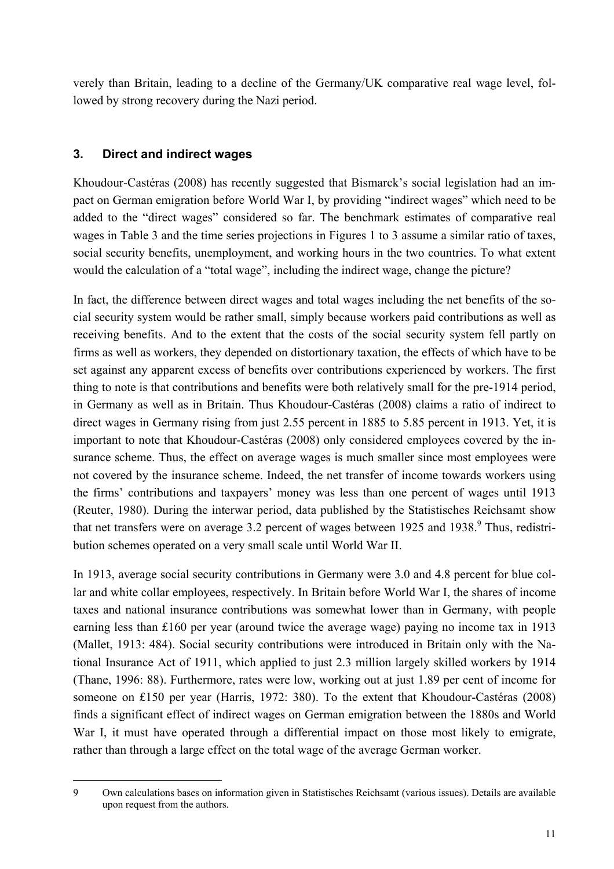verely than Britain, leading to a decline of the Germany/UK comparative real wage level, followed by strong recovery during the Nazi period.

# **3. Direct and indirect wages**

Khoudour-Castéras (2008) has recently suggested that Bismarck's social legislation had an impact on German emigration before World War I, by providing "indirect wages" which need to be added to the "direct wages" considered so far. The benchmark estimates of comparative real wages in Table 3 and the time series projections in Figures 1 to 3 assume a similar ratio of taxes, social security benefits, unemployment, and working hours in the two countries. To what extent would the calculation of a "total wage", including the indirect wage, change the picture?

In fact, the difference between direct wages and total wages including the net benefits of the social security system would be rather small, simply because workers paid contributions as well as receiving benefits. And to the extent that the costs of the social security system fell partly on firms as well as workers, they depended on distortionary taxation, the effects of which have to be set against any apparent excess of benefits over contributions experienced by workers. The first thing to note is that contributions and benefits were both relatively small for the pre-1914 period, in Germany as well as in Britain. Thus Khoudour-Castéras (2008) claims a ratio of indirect to direct wages in Germany rising from just 2.55 percent in 1885 to 5.85 percent in 1913. Yet, it is important to note that Khoudour-Castéras (2008) only considered employees covered by the insurance scheme. Thus, the effect on average wages is much smaller since most employees were not covered by the insurance scheme. Indeed, the net transfer of income towards workers using the firms' contributions and taxpayers' money was less than one percent of wages until 1913 (Reuter, 1980). During the interwar period, data published by the Statistisches Reichsamt show that net transfers were on average 3.2 percent of wages between 1925 and 1938.<sup>9</sup> Thus, redistribution schemes operated on a very small scale until World War II.

In 1913, average social security contributions in Germany were 3.0 and 4.8 percent for blue collar and white collar employees, respectively. In Britain before World War I, the shares of income taxes and national insurance contributions was somewhat lower than in Germany, with people earning less than £160 per year (around twice the average wage) paying no income tax in 1913 (Mallet, 1913: 484). Social security contributions were introduced in Britain only with the National Insurance Act of 1911, which applied to just 2.3 million largely skilled workers by 1914 (Thane, 1996: 88). Furthermore, rates were low, working out at just 1.89 per cent of income for someone on £150 per year (Harris, 1972: 380). To the extent that Khoudour-Castéras (2008) finds a significant effect of indirect wages on German emigration between the 1880s and World War I, it must have operated through a differential impact on those most likely to emigrate, rather than through a large effect on the total wage of the average German worker.

 $\overline{a}$ 9 Own calculations bases on information given in Statistisches Reichsamt (various issues). Details are available upon request from the authors.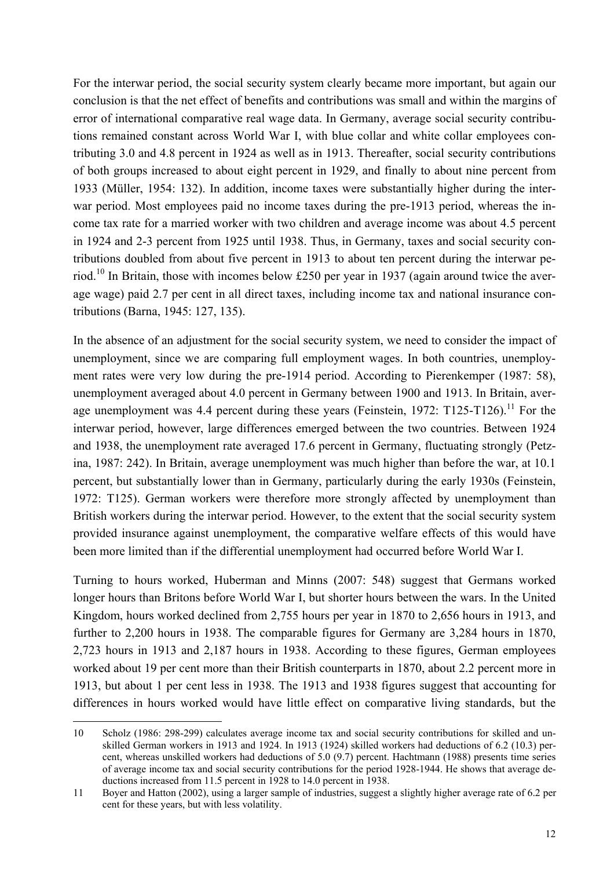For the interwar period, the social security system clearly became more important, but again our conclusion is that the net effect of benefits and contributions was small and within the margins of error of international comparative real wage data. In Germany, average social security contributions remained constant across World War I, with blue collar and white collar employees contributing 3.0 and 4.8 percent in 1924 as well as in 1913. Thereafter, social security contributions of both groups increased to about eight percent in 1929, and finally to about nine percent from 1933 (Müller, 1954: 132). In addition, income taxes were substantially higher during the interwar period. Most employees paid no income taxes during the pre-1913 period, whereas the income tax rate for a married worker with two children and average income was about 4.5 percent in 1924 and 2-3 percent from 1925 until 1938. Thus, in Germany, taxes and social security contributions doubled from about five percent in 1913 to about ten percent during the interwar period.<sup>10</sup> In Britain, those with incomes below £250 per year in 1937 (again around twice the average wage) paid 2.7 per cent in all direct taxes, including income tax and national insurance contributions (Barna, 1945: 127, 135).

In the absence of an adjustment for the social security system, we need to consider the impact of unemployment, since we are comparing full employment wages. In both countries, unemployment rates were very low during the pre-1914 period. According to Pierenkemper (1987: 58), unemployment averaged about 4.0 percent in Germany between 1900 and 1913. In Britain, average unemployment was 4.4 percent during these years (Feinstein, 1972: T125-T126).<sup>11</sup> For the interwar period, however, large differences emerged between the two countries. Between 1924 and 1938, the unemployment rate averaged 17.6 percent in Germany, fluctuating strongly (Petzina, 1987: 242). In Britain, average unemployment was much higher than before the war, at 10.1 percent, but substantially lower than in Germany, particularly during the early 1930s (Feinstein, 1972: T125). German workers were therefore more strongly affected by unemployment than British workers during the interwar period. However, to the extent that the social security system provided insurance against unemployment, the comparative welfare effects of this would have been more limited than if the differential unemployment had occurred before World War I.

Turning to hours worked, Huberman and Minns (2007: 548) suggest that Germans worked longer hours than Britons before World War I, but shorter hours between the wars. In the United Kingdom, hours worked declined from 2,755 hours per year in 1870 to 2,656 hours in 1913, and further to 2,200 hours in 1938. The comparable figures for Germany are 3,284 hours in 1870, 2,723 hours in 1913 and 2,187 hours in 1938. According to these figures, German employees worked about 19 per cent more than their British counterparts in 1870, about 2.2 percent more in 1913, but about 1 per cent less in 1938. The 1913 and 1938 figures suggest that accounting for differences in hours worked would have little effect on comparative living standards, but the

j

<sup>10</sup> Scholz (1986: 298-299) calculates average income tax and social security contributions for skilled and unskilled German workers in 1913 and 1924. In 1913 (1924) skilled workers had deductions of 6.2 (10.3) percent, whereas unskilled workers had deductions of 5.0 (9.7) percent. Hachtmann (1988) presents time series of average income tax and social security contributions for the period 1928-1944. He shows that average deductions increased from 11.5 percent in 1928 to 14.0 percent in 1938.

<sup>11</sup> Boyer and Hatton (2002), using a larger sample of industries, suggest a slightly higher average rate of 6.2 per cent for these years, but with less volatility.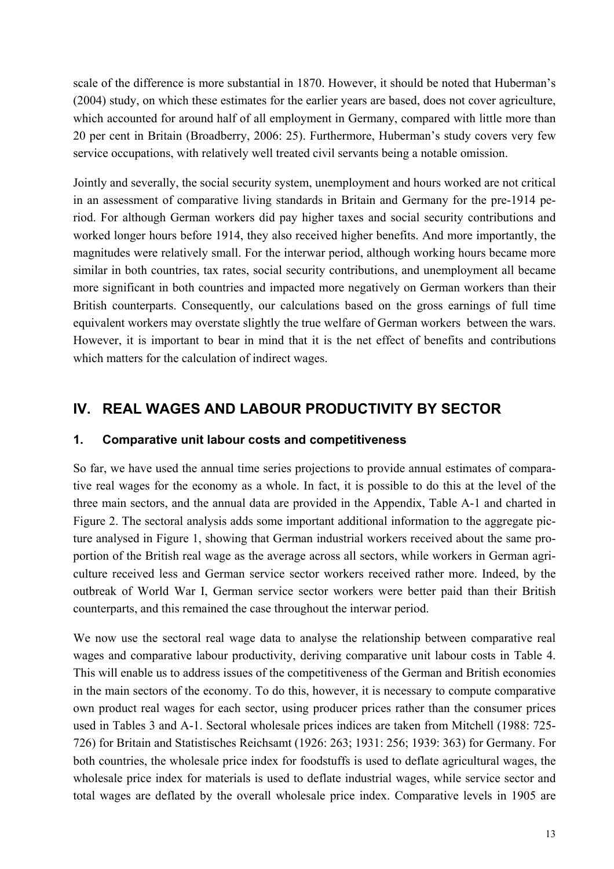scale of the difference is more substantial in 1870. However, it should be noted that Huberman's (2004) study, on which these estimates for the earlier years are based, does not cover agriculture, which accounted for around half of all employment in Germany, compared with little more than 20 per cent in Britain (Broadberry, 2006: 25). Furthermore, Huberman's study covers very few service occupations, with relatively well treated civil servants being a notable omission.

Jointly and severally, the social security system, unemployment and hours worked are not critical in an assessment of comparative living standards in Britain and Germany for the pre-1914 period. For although German workers did pay higher taxes and social security contributions and worked longer hours before 1914, they also received higher benefits. And more importantly, the magnitudes were relatively small. For the interwar period, although working hours became more similar in both countries, tax rates, social security contributions, and unemployment all became more significant in both countries and impacted more negatively on German workers than their British counterparts. Consequently, our calculations based on the gross earnings of full time equivalent workers may overstate slightly the true welfare of German workers between the wars. However, it is important to bear in mind that it is the net effect of benefits and contributions which matters for the calculation of indirect wages.

# **IV. REAL WAGES AND LABOUR PRODUCTIVITY BY SECTOR**

# **1. Comparative unit labour costs and competitiveness**

So far, we have used the annual time series projections to provide annual estimates of comparative real wages for the economy as a whole. In fact, it is possible to do this at the level of the three main sectors, and the annual data are provided in the Appendix, Table A-1 and charted in Figure 2. The sectoral analysis adds some important additional information to the aggregate picture analysed in Figure 1, showing that German industrial workers received about the same proportion of the British real wage as the average across all sectors, while workers in German agriculture received less and German service sector workers received rather more. Indeed, by the outbreak of World War I, German service sector workers were better paid than their British counterparts, and this remained the case throughout the interwar period.

We now use the sectoral real wage data to analyse the relationship between comparative real wages and comparative labour productivity, deriving comparative unit labour costs in Table 4. This will enable us to address issues of the competitiveness of the German and British economies in the main sectors of the economy. To do this, however, it is necessary to compute comparative own product real wages for each sector, using producer prices rather than the consumer prices used in Tables 3 and A-1. Sectoral wholesale prices indices are taken from Mitchell (1988: 725- 726) for Britain and Statistisches Reichsamt (1926: 263; 1931: 256; 1939: 363) for Germany. For both countries, the wholesale price index for foodstuffs is used to deflate agricultural wages, the wholesale price index for materials is used to deflate industrial wages, while service sector and total wages are deflated by the overall wholesale price index. Comparative levels in 1905 are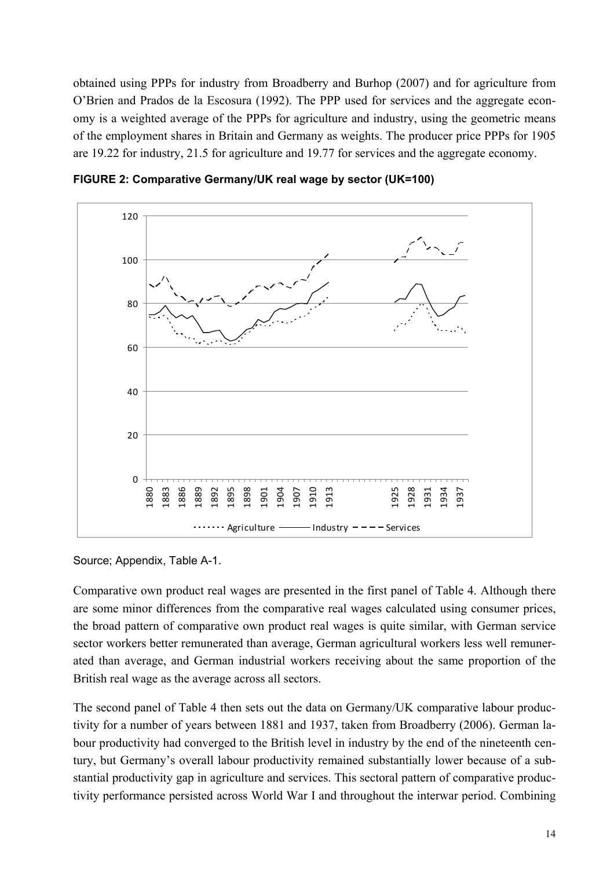obtained using PPPs for industry from Broadberry and Burhop (2007) and for agriculture from O'Brien and Prados de la Escosura (1992). The PPP used for services and the aggregate economy is a weighted average of the PPPs for agriculture and industry, using the geometric means of the employment shares in Britain and Germany as weights. The producer price PPPs for 1905 are 19.22 for industry, 21.5 for agriculture and 19.77 for services and the aggregate economy.



**FIGURE 2: Comparative Germany/UK real wage by sector (UK=100)** 

Source; Appendix, Table A-1.

Comparative own product real wages are presented in the first panel of Table 4. Although there are some minor differences from the comparative real wages calculated using consumer prices, the broad pattern of comparative own product real wages is quite similar, with German service sector workers better remunerated than average, German agricultural workers less well remunerated than average, and German industrial workers receiving about the same proportion of the British real wage as the average across all sectors.

The second panel of Table 4 then sets out the data on Germany/UK comparative labour productivity for a number of years between 1881 and 1937, taken from Broadberry (2006). German labour productivity had converged to the British level in industry by the end of the nineteenth century, but Germany's overall labour productivity remained substantially lower because of a substantial productivity gap in agriculture and services. This sectoral pattern of comparative productivity performance persisted across World War I and throughout the interwar period. Combining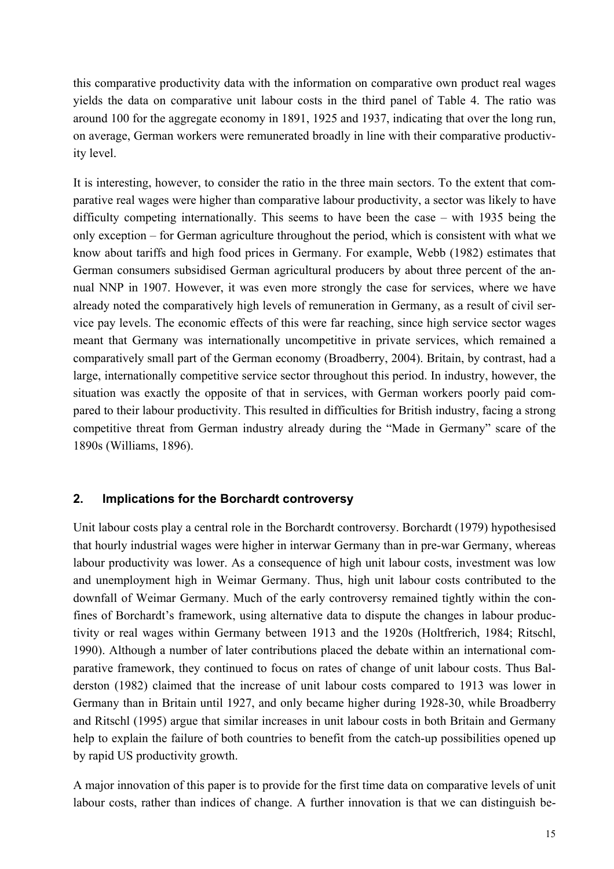this comparative productivity data with the information on comparative own product real wages yields the data on comparative unit labour costs in the third panel of Table 4. The ratio was around 100 for the aggregate economy in 1891, 1925 and 1937, indicating that over the long run, on average, German workers were remunerated broadly in line with their comparative productivity level.

It is interesting, however, to consider the ratio in the three main sectors. To the extent that comparative real wages were higher than comparative labour productivity, a sector was likely to have difficulty competing internationally. This seems to have been the case – with 1935 being the only exception – for German agriculture throughout the period, which is consistent with what we know about tariffs and high food prices in Germany. For example, Webb (1982) estimates that German consumers subsidised German agricultural producers by about three percent of the annual NNP in 1907. However, it was even more strongly the case for services, where we have already noted the comparatively high levels of remuneration in Germany, as a result of civil service pay levels. The economic effects of this were far reaching, since high service sector wages meant that Germany was internationally uncompetitive in private services, which remained a comparatively small part of the German economy (Broadberry, 2004). Britain, by contrast, had a large, internationally competitive service sector throughout this period. In industry, however, the situation was exactly the opposite of that in services, with German workers poorly paid compared to their labour productivity. This resulted in difficulties for British industry, facing a strong competitive threat from German industry already during the "Made in Germany" scare of the 1890s (Williams, 1896).

# **2. Implications for the Borchardt controversy**

Unit labour costs play a central role in the Borchardt controversy. Borchardt (1979) hypothesised that hourly industrial wages were higher in interwar Germany than in pre-war Germany, whereas labour productivity was lower. As a consequence of high unit labour costs, investment was low and unemployment high in Weimar Germany. Thus, high unit labour costs contributed to the downfall of Weimar Germany. Much of the early controversy remained tightly within the confines of Borchardt's framework, using alternative data to dispute the changes in labour productivity or real wages within Germany between 1913 and the 1920s (Holtfrerich, 1984; Ritschl, 1990). Although a number of later contributions placed the debate within an international comparative framework, they continued to focus on rates of change of unit labour costs. Thus Balderston (1982) claimed that the increase of unit labour costs compared to 1913 was lower in Germany than in Britain until 1927, and only became higher during 1928-30, while Broadberry and Ritschl (1995) argue that similar increases in unit labour costs in both Britain and Germany help to explain the failure of both countries to benefit from the catch-up possibilities opened up by rapid US productivity growth.

A major innovation of this paper is to provide for the first time data on comparative levels of unit labour costs, rather than indices of change. A further innovation is that we can distinguish be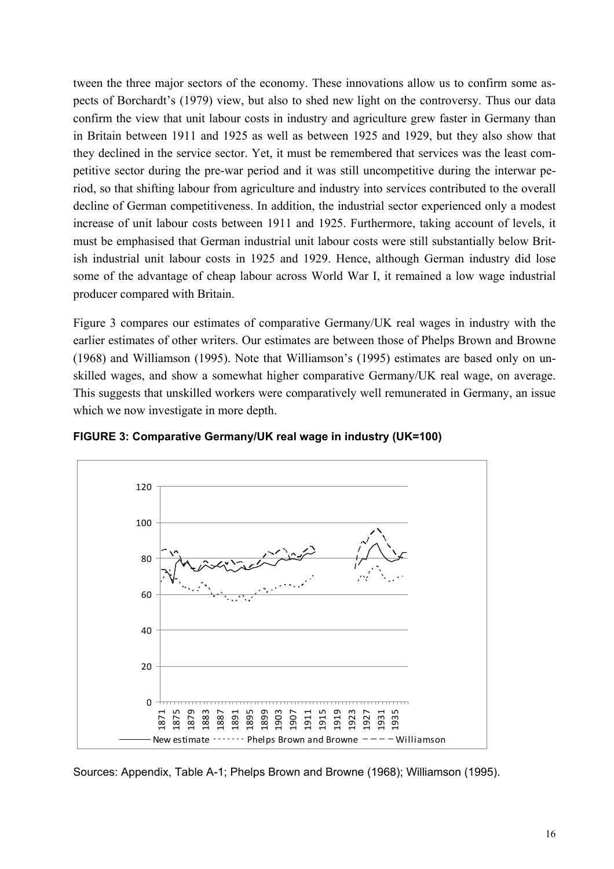tween the three major sectors of the economy. These innovations allow us to confirm some aspects of Borchardt's (1979) view, but also to shed new light on the controversy. Thus our data confirm the view that unit labour costs in industry and agriculture grew faster in Germany than in Britain between 1911 and 1925 as well as between 1925 and 1929, but they also show that they declined in the service sector. Yet, it must be remembered that services was the least competitive sector during the pre-war period and it was still uncompetitive during the interwar period, so that shifting labour from agriculture and industry into services contributed to the overall decline of German competitiveness. In addition, the industrial sector experienced only a modest increase of unit labour costs between 1911 and 1925. Furthermore, taking account of levels, it must be emphasised that German industrial unit labour costs were still substantially below British industrial unit labour costs in 1925 and 1929. Hence, although German industry did lose some of the advantage of cheap labour across World War I, it remained a low wage industrial producer compared with Britain.

Figure 3 compares our estimates of comparative Germany/UK real wages in industry with the earlier estimates of other writers. Our estimates are between those of Phelps Brown and Browne (1968) and Williamson (1995). Note that Williamson's (1995) estimates are based only on unskilled wages, and show a somewhat higher comparative Germany/UK real wage, on average. This suggests that unskilled workers were comparatively well remunerated in Germany, an issue which we now investigate in more depth.



**FIGURE 3: Comparative Germany/UK real wage in industry (UK=100)** 

Sources: Appendix, Table A-1; Phelps Brown and Browne (1968); Williamson (1995).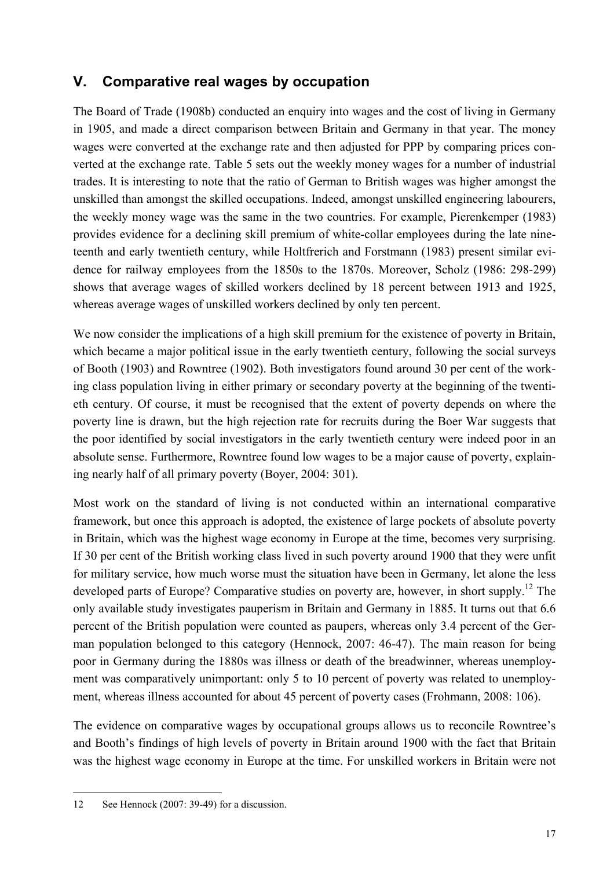# **V. Comparative real wages by occupation**

The Board of Trade (1908b) conducted an enquiry into wages and the cost of living in Germany in 1905, and made a direct comparison between Britain and Germany in that year. The money wages were converted at the exchange rate and then adjusted for PPP by comparing prices converted at the exchange rate. Table 5 sets out the weekly money wages for a number of industrial trades. It is interesting to note that the ratio of German to British wages was higher amongst the unskilled than amongst the skilled occupations. Indeed, amongst unskilled engineering labourers, the weekly money wage was the same in the two countries. For example, Pierenkemper (1983) provides evidence for a declining skill premium of white-collar employees during the late nineteenth and early twentieth century, while Holtfrerich and Forstmann (1983) present similar evidence for railway employees from the 1850s to the 1870s. Moreover, Scholz (1986: 298-299) shows that average wages of skilled workers declined by 18 percent between 1913 and 1925, whereas average wages of unskilled workers declined by only ten percent.

We now consider the implications of a high skill premium for the existence of poverty in Britain, which became a major political issue in the early twentieth century, following the social surveys of Booth (1903) and Rowntree (1902). Both investigators found around 30 per cent of the working class population living in either primary or secondary poverty at the beginning of the twentieth century. Of course, it must be recognised that the extent of poverty depends on where the poverty line is drawn, but the high rejection rate for recruits during the Boer War suggests that the poor identified by social investigators in the early twentieth century were indeed poor in an absolute sense. Furthermore, Rowntree found low wages to be a major cause of poverty, explaining nearly half of all primary poverty (Boyer, 2004: 301).

Most work on the standard of living is not conducted within an international comparative framework, but once this approach is adopted, the existence of large pockets of absolute poverty in Britain, which was the highest wage economy in Europe at the time, becomes very surprising. If 30 per cent of the British working class lived in such poverty around 1900 that they were unfit for military service, how much worse must the situation have been in Germany, let alone the less developed parts of Europe? Comparative studies on poverty are, however, in short supply.<sup>12</sup> The only available study investigates pauperism in Britain and Germany in 1885. It turns out that 6.6 percent of the British population were counted as paupers, whereas only 3.4 percent of the German population belonged to this category (Hennock, 2007: 46-47). The main reason for being poor in Germany during the 1880s was illness or death of the breadwinner, whereas unemployment was comparatively unimportant: only 5 to 10 percent of poverty was related to unemployment, whereas illness accounted for about 45 percent of poverty cases (Frohmann, 2008: 106).

The evidence on comparative wages by occupational groups allows us to reconcile Rowntree's and Booth's findings of high levels of poverty in Britain around 1900 with the fact that Britain was the highest wage economy in Europe at the time. For unskilled workers in Britain were not

j

<sup>12</sup> See Hennock (2007: 39-49) for a discussion.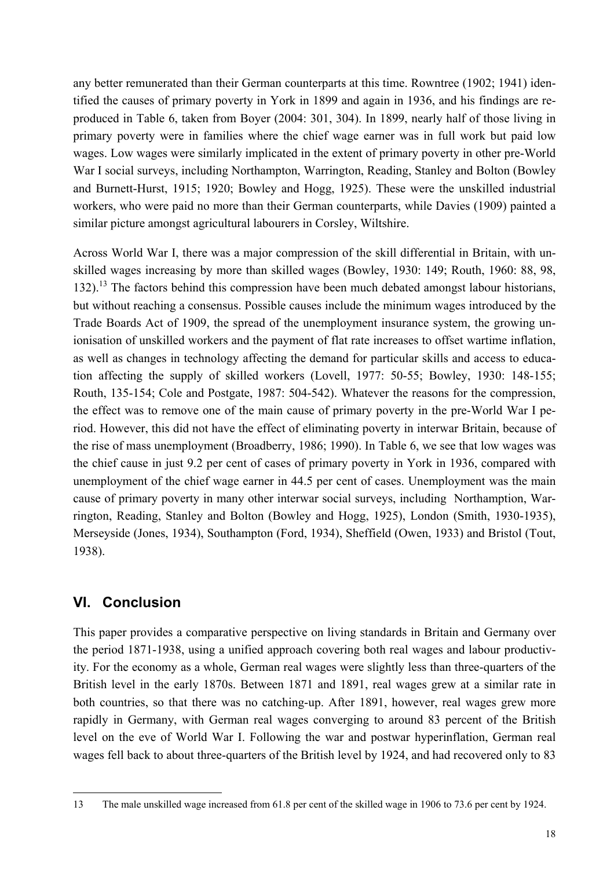any better remunerated than their German counterparts at this time. Rowntree (1902; 1941) identified the causes of primary poverty in York in 1899 and again in 1936, and his findings are reproduced in Table 6, taken from Boyer (2004: 301, 304). In 1899, nearly half of those living in primary poverty were in families where the chief wage earner was in full work but paid low wages. Low wages were similarly implicated in the extent of primary poverty in other pre-World War I social surveys, including Northampton, Warrington, Reading, Stanley and Bolton (Bowley and Burnett-Hurst, 1915; 1920; Bowley and Hogg, 1925). These were the unskilled industrial workers, who were paid no more than their German counterparts, while Davies (1909) painted a similar picture amongst agricultural labourers in Corsley, Wiltshire.

Across World War I, there was a major compression of the skill differential in Britain, with unskilled wages increasing by more than skilled wages (Bowley, 1930: 149; Routh, 1960: 88, 98, 132).<sup>13</sup> The factors behind this compression have been much debated amongst labour historians, but without reaching a consensus. Possible causes include the minimum wages introduced by the Trade Boards Act of 1909, the spread of the unemployment insurance system, the growing unionisation of unskilled workers and the payment of flat rate increases to offset wartime inflation, as well as changes in technology affecting the demand for particular skills and access to education affecting the supply of skilled workers (Lovell, 1977: 50-55; Bowley, 1930: 148-155; Routh, 135-154; Cole and Postgate, 1987: 504-542). Whatever the reasons for the compression, the effect was to remove one of the main cause of primary poverty in the pre-World War I period. However, this did not have the effect of eliminating poverty in interwar Britain, because of the rise of mass unemployment (Broadberry, 1986; 1990). In Table 6, we see that low wages was the chief cause in just 9.2 per cent of cases of primary poverty in York in 1936, compared with unemployment of the chief wage earner in 44.5 per cent of cases. Unemployment was the main cause of primary poverty in many other interwar social surveys, including Northamption, Warrington, Reading, Stanley and Bolton (Bowley and Hogg, 1925), London (Smith, 1930-1935), Merseyside (Jones, 1934), Southampton (Ford, 1934), Sheffield (Owen, 1933) and Bristol (Tout, 1938).

# **VI. Conclusion**

j

This paper provides a comparative perspective on living standards in Britain and Germany over the period 1871-1938, using a unified approach covering both real wages and labour productivity. For the economy as a whole, German real wages were slightly less than three-quarters of the British level in the early 1870s. Between 1871 and 1891, real wages grew at a similar rate in both countries, so that there was no catching-up. After 1891, however, real wages grew more rapidly in Germany, with German real wages converging to around 83 percent of the British level on the eve of World War I. Following the war and postwar hyperinflation, German real wages fell back to about three-quarters of the British level by 1924, and had recovered only to 83

<sup>13</sup> The male unskilled wage increased from 61.8 per cent of the skilled wage in 1906 to 73.6 per cent by 1924.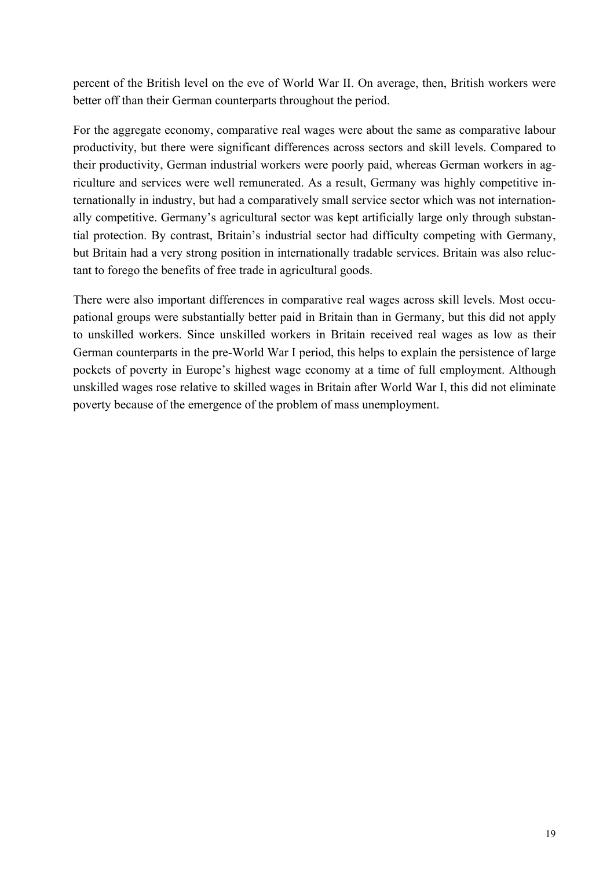percent of the British level on the eve of World War II. On average, then, British workers were better off than their German counterparts throughout the period.

For the aggregate economy, comparative real wages were about the same as comparative labour productivity, but there were significant differences across sectors and skill levels. Compared to their productivity, German industrial workers were poorly paid, whereas German workers in agriculture and services were well remunerated. As a result, Germany was highly competitive internationally in industry, but had a comparatively small service sector which was not internationally competitive. Germany's agricultural sector was kept artificially large only through substantial protection. By contrast, Britain's industrial sector had difficulty competing with Germany, but Britain had a very strong position in internationally tradable services. Britain was also reluctant to forego the benefits of free trade in agricultural goods.

There were also important differences in comparative real wages across skill levels. Most occupational groups were substantially better paid in Britain than in Germany, but this did not apply to unskilled workers. Since unskilled workers in Britain received real wages as low as their German counterparts in the pre-World War I period, this helps to explain the persistence of large pockets of poverty in Europe's highest wage economy at a time of full employment. Although unskilled wages rose relative to skilled wages in Britain after World War I, this did not eliminate poverty because of the emergence of the problem of mass unemployment.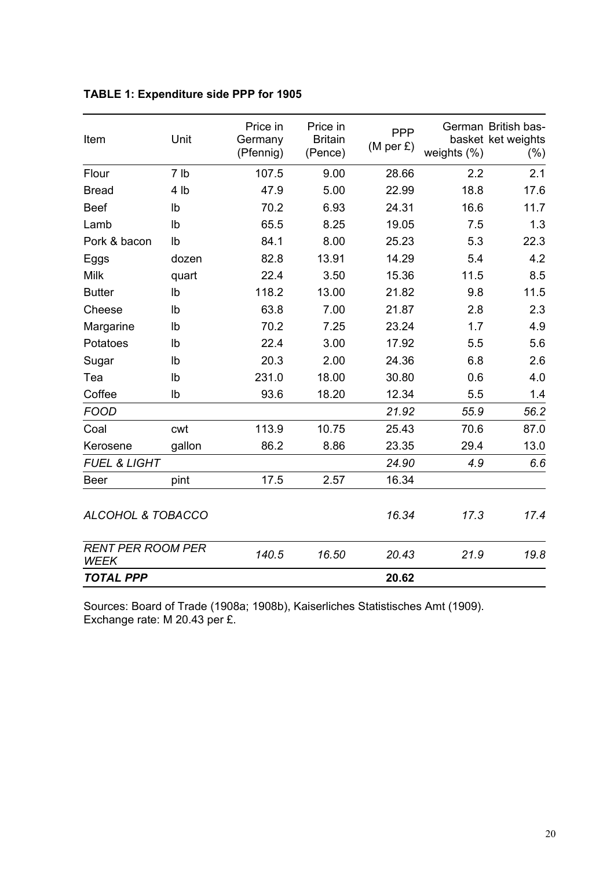| Item                                    | Unit   | Price in<br>Germany<br>(Pfennig) | Price in<br><b>Britain</b><br>(Pence) | <b>PPP</b><br>(M per E) | weights $(\%)$ | German British bas-<br>basket ket weights<br>$(\% )$ |
|-----------------------------------------|--------|----------------------------------|---------------------------------------|-------------------------|----------------|------------------------------------------------------|
| Flour                                   | 7 lb   | 107.5                            | 9.00                                  | 28.66                   | 2.2            | 2.1                                                  |
| <b>Bread</b>                            | 4 lb   | 47.9                             | 5.00                                  | 22.99                   | 18.8           | 17.6                                                 |
| <b>Beef</b>                             | Ib     | 70.2                             | 6.93                                  | 24.31                   | 16.6           | 11.7                                                 |
| Lamb                                    | Ib     | 65.5                             | 8.25                                  | 19.05                   | 7.5            | 1.3                                                  |
| Pork & bacon                            | Ib     | 84.1                             | 8.00                                  | 25.23                   | 5.3            | 22.3                                                 |
| Eggs                                    | dozen  | 82.8                             | 13.91                                 | 14.29                   | 5.4            | 4.2                                                  |
| <b>Milk</b>                             | quart  | 22.4                             | 3.50                                  | 15.36                   | 11.5           | 8.5                                                  |
| <b>Butter</b>                           | Ib     | 118.2                            | 13.00                                 | 21.82                   | 9.8            | 11.5                                                 |
| Cheese                                  | Ib     | 63.8                             | 7.00                                  | 21.87                   | 2.8            | 2.3                                                  |
| Margarine                               | Ib     | 70.2                             | 7.25                                  | 23.24                   | 1.7            | 4.9                                                  |
| Potatoes                                | Ib     | 22.4                             | 3.00                                  | 17.92                   | 5.5            | 5.6                                                  |
| Sugar                                   | Ib     | 20.3                             | 2.00                                  | 24.36                   | 6.8            | 2.6                                                  |
| Tea                                     | Ib     | 231.0                            | 18.00                                 | 30.80                   | 0.6            | 4.0                                                  |
| Coffee                                  | Ib     | 93.6                             | 18.20                                 | 12.34                   | 5.5            | 1.4                                                  |
| <b>FOOD</b>                             |        |                                  |                                       | 21.92                   | 55.9           | 56.2                                                 |
| Coal                                    | cwt    | 113.9                            | 10.75                                 | 25.43                   | 70.6           | 87.0                                                 |
| Kerosene                                | gallon | 86.2                             | 8.86                                  | 23.35                   | 29.4           | 13.0                                                 |
| <b>FUEL &amp; LIGHT</b>                 |        |                                  |                                       | 24.90                   | 4.9            | 6.6                                                  |
| <b>Beer</b>                             | pint   | 17.5                             | 2.57                                  | 16.34                   |                |                                                      |
| ALCOHOL & TOBACCO                       |        |                                  |                                       | 16.34                   | 17.3           | 17.4                                                 |
| <b>RENT PER ROOM PER</b><br><b>WEEK</b> |        | 140.5                            | 16.50                                 | 20.43                   | 21.9           | 19.8                                                 |
| <b>TOTAL PPP</b>                        |        |                                  |                                       | 20.62                   |                |                                                      |

# **TABLE 1: Expenditure side PPP for 1905**

Sources: Board of Trade (1908a; 1908b), Kaiserliches Statistisches Amt (1909). Exchange rate: M 20.43 per £.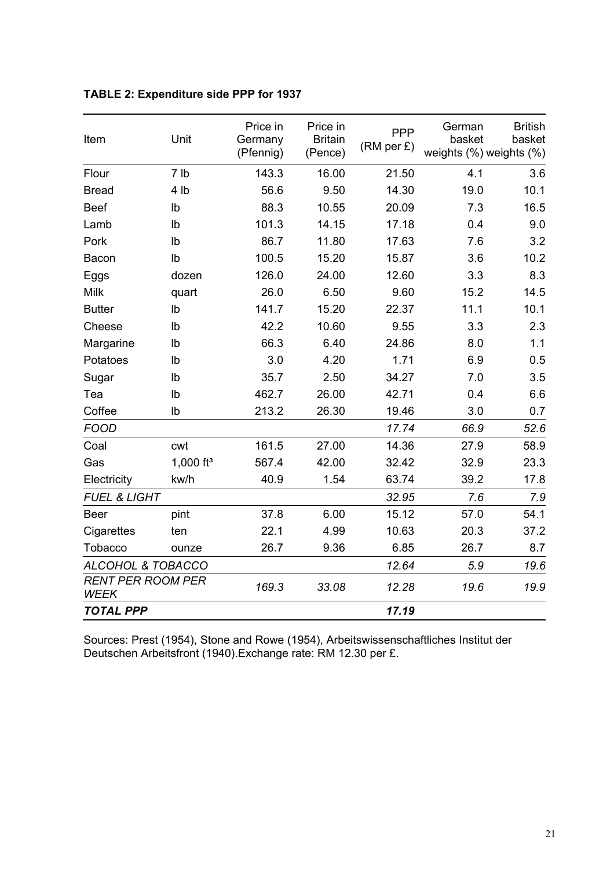| Item                             | Unit           | Price in<br>Germany<br>(Pfennig) | Price in<br><b>Britain</b><br>(Pence) | <b>PPP</b><br>(RM per E) | German<br>basket<br>weights (%) weights (%) | <b>British</b><br>basket |
|----------------------------------|----------------|----------------------------------|---------------------------------------|--------------------------|---------------------------------------------|--------------------------|
| Flour                            | 7 lb           | 143.3                            | 16.00                                 | 21.50                    | 4.1                                         | 3.6                      |
| <b>Bread</b>                     | 4 lb           | 56.6                             | 9.50                                  | 14.30                    | 19.0                                        | 10.1                     |
| <b>Beef</b>                      | I <sub>b</sub> | 88.3                             | 10.55                                 | 20.09                    | 7.3                                         | 16.5                     |
| Lamb                             | Ib             | 101.3                            | 14.15                                 | 17.18                    | 0.4                                         | 9.0                      |
| Pork                             | Ib             | 86.7                             | 11.80                                 | 17.63                    | 7.6                                         | 3.2                      |
| Bacon                            | Ib             | 100.5                            | 15.20                                 | 15.87                    | 3.6                                         | 10.2                     |
| Eggs                             | dozen          | 126.0                            | 24.00                                 | 12.60                    | 3.3                                         | 8.3                      |
| <b>Milk</b>                      | quart          | 26.0                             | 6.50                                  | 9.60                     | 15.2                                        | 14.5                     |
| <b>Butter</b>                    | Ib             | 141.7                            | 15.20                                 | 22.37                    | 11.1                                        | 10.1                     |
| Cheese                           | Ib             | 42.2                             | 10.60                                 | 9.55                     | 3.3                                         | 2.3                      |
| Margarine                        | Ib             | 66.3                             | 6.40                                  | 24.86                    | 8.0                                         | 1.1                      |
| Potatoes                         | Ib             | 3.0                              | 4.20                                  | 1.71                     | 6.9                                         | 0.5                      |
| Sugar                            | Ib             | 35.7                             | 2.50                                  | 34.27                    | 7.0                                         | 3.5                      |
| Tea                              | Ib             | 462.7                            | 26.00                                 | 42.71                    | 0.4                                         | 6.6                      |
| Coffee                           | Ib             | 213.2                            | 26.30                                 | 19.46                    | 3.0                                         | 0.7                      |
| <b>FOOD</b>                      |                |                                  |                                       | 17.74                    | 66.9                                        | 52.6                     |
| Coal                             | cwt            | 161.5                            | 27.00                                 | 14.36                    | 27.9                                        | 58.9                     |
| Gas                              | 1,000 $ft^3$   | 567.4                            | 42.00                                 | 32.42                    | 32.9                                        | 23.3                     |
| Electricity                      | kw/h           | 40.9                             | 1.54                                  | 63.74                    | 39.2                                        | 17.8                     |
| <b>FUEL &amp; LIGHT</b>          |                |                                  |                                       | 32.95                    | 7.6                                         | 7.9                      |
| <b>Beer</b>                      | pint           | 37.8                             | 6.00                                  | 15.12                    | 57.0                                        | 54.1                     |
| Cigarettes                       | ten            | 22.1                             | 4.99                                  | 10.63                    | 20.3                                        | 37.2                     |
| Tobacco                          | ounze          | 26.7                             | 9.36                                  | 6.85                     | 26.7                                        | 8.7                      |
| <b>ALCOHOL &amp; TOBACCO</b>     |                |                                  |                                       | 12.64                    | 5.9                                         | 19.6                     |
| <b>RENT PER ROOM PER</b><br>WEEK |                | 169.3                            | 33.08                                 | 12.28                    | 19.6                                        | 19.9                     |
| <b>TOTAL PPP</b>                 |                |                                  |                                       | 17.19                    |                                             |                          |

# **TABLE 2: Expenditure side PPP for 1937**

Sources: Prest (1954), Stone and Rowe (1954), Arbeitswissenschaftliches Institut der Deutschen Arbeitsfront (1940).Exchange rate: RM 12.30 per £.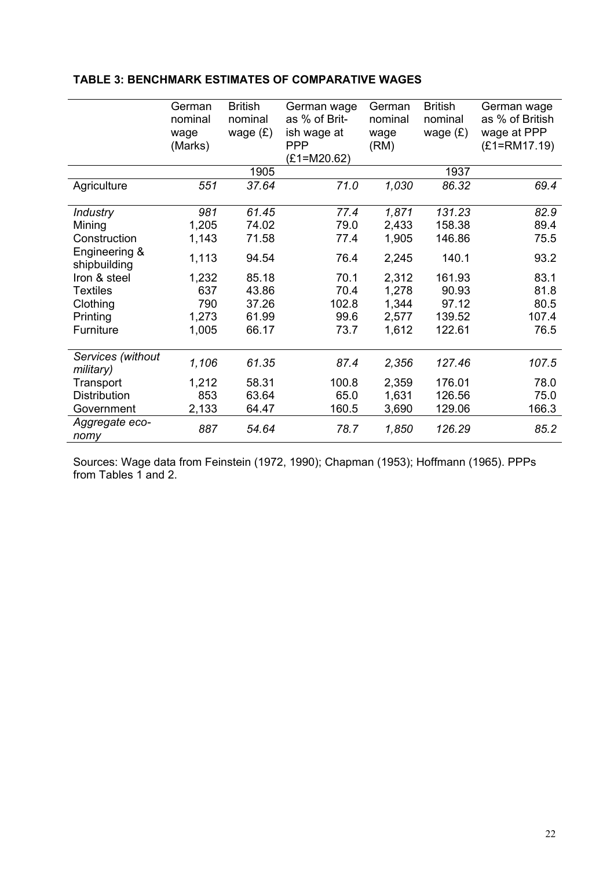|                                | German<br>nominal<br>wage<br>(Marks) | <b>British</b><br>nominal<br>wage $(E)$ | German wage<br>as % of Brit-<br>ish wage at<br><b>PPP</b><br>(£1=M20.62) | German<br>nominal<br>wage<br>(RM) | <b>British</b><br>nominal<br>wage $(E)$ | German wage<br>as % of British<br>wage at PPP<br>$(E1 = RM17.19)$ |
|--------------------------------|--------------------------------------|-----------------------------------------|--------------------------------------------------------------------------|-----------------------------------|-----------------------------------------|-------------------------------------------------------------------|
|                                |                                      | 1905                                    |                                                                          |                                   | 1937                                    |                                                                   |
| Agriculture                    | 551                                  | 37.64                                   | 71.0                                                                     | 1,030                             | 86.32                                   | 69.4                                                              |
| <b>Industry</b>                | 981                                  | 61.45                                   | 77.4                                                                     | 1,871                             | 131.23                                  | 82.9                                                              |
| Mining                         | 1,205                                | 74.02                                   | 79.0                                                                     | 2,433                             | 158.38                                  | 89.4                                                              |
| Construction                   | 1,143                                | 71.58                                   | 77.4                                                                     | 1,905                             | 146.86                                  | 75.5                                                              |
| Engineering &<br>shipbuilding  | 1,113                                | 94.54                                   | 76.4                                                                     | 2,245                             | 140.1                                   | 93.2                                                              |
| Iron & steel                   | 1,232                                | 85.18                                   | 70.1                                                                     | 2,312                             | 161.93                                  | 83.1                                                              |
| <b>Textiles</b>                | 637                                  | 43.86                                   | 70.4                                                                     | 1,278                             | 90.93                                   | 81.8                                                              |
| Clothing                       | 790                                  | 37.26                                   | 102.8                                                                    | 1,344                             | 97.12                                   | 80.5                                                              |
| Printing                       | 1,273                                | 61.99                                   | 99.6                                                                     | 2,577                             | 139.52                                  | 107.4                                                             |
| Furniture                      | 1,005                                | 66.17                                   | 73.7                                                                     | 1,612                             | 122.61                                  | 76.5                                                              |
| Services (without<br>military) | 1,106                                | 61.35                                   | 87.4                                                                     | 2,356                             | 127.46                                  | 107.5                                                             |
| Transport                      | 1,212                                | 58.31                                   | 100.8                                                                    | 2,359                             | 176.01                                  | 78.0                                                              |
| <b>Distribution</b>            | 853                                  | 63.64                                   | 65.0                                                                     | 1,631                             | 126.56                                  | 75.0                                                              |
| Government                     | 2,133                                | 64.47                                   | 160.5                                                                    | 3,690                             | 129.06                                  | 166.3                                                             |
| Aggregate eco-<br>nomy         | 887                                  | 54.64                                   | 78.7                                                                     | 1,850                             | 126.29                                  | 85.2                                                              |

#### **TABLE 3: BENCHMARK ESTIMATES OF COMPARATIVE WAGES**

Sources: Wage data from Feinstein (1972, 1990); Chapman (1953); Hoffmann (1965). PPPs from Tables 1 and 2.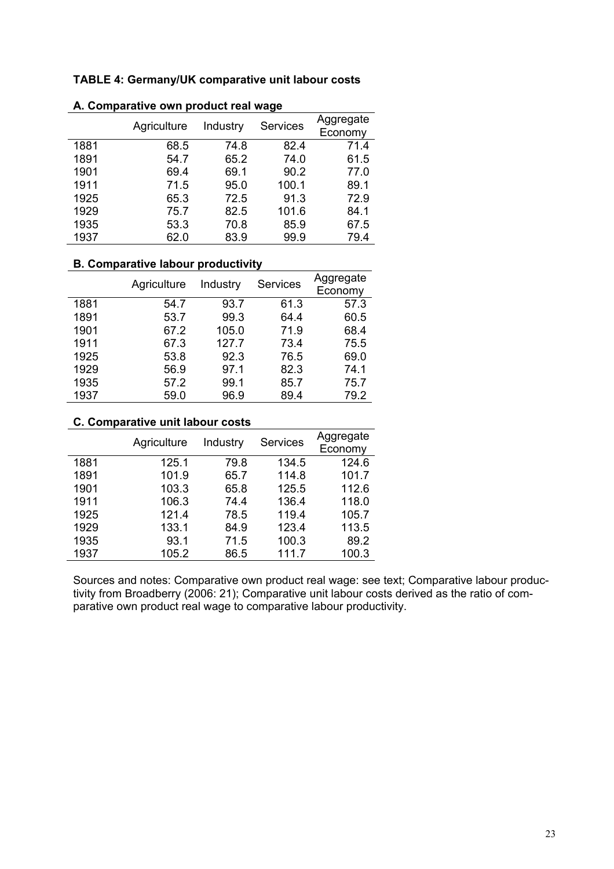#### **TABLE 4: Germany/UK comparative unit labour costs**

| м. Обшрагаато битг<br>PIVUUVLIVUI IIUYV |             |          |                 |                      |  |
|-----------------------------------------|-------------|----------|-----------------|----------------------|--|
|                                         | Agriculture | Industry | <b>Services</b> | Aggregate<br>Economy |  |
| 1881                                    | 68.5        | 74.8     | 82.4            | 71.4                 |  |
| 1891                                    | 54.7        | 65.2     | 74.0            | 61.5                 |  |
| 1901                                    | 69.4        | 69.1     | 90.2            | 77.0                 |  |
| 1911                                    | 71.5        | 95.0     | 100.1           | 89.1                 |  |
| 1925                                    | 65.3        | 72.5     | 91.3            | 72.9                 |  |
| 1929                                    | 75.7        | 82.5     | 101.6           | 84.1                 |  |
| 1935                                    | 53.3        | 70.8     | 85.9            | 67.5                 |  |
| 1937                                    | 62.0        | 83.9     | 99.9            | 79.4                 |  |

#### **A. Comparative own product real wage**

#### **B. Comparative labour productivity**

|      | Agriculture | Industry | <b>Services</b> | Aggregate |
|------|-------------|----------|-----------------|-----------|
|      |             |          |                 | Economy   |
| 1881 | 54.7        | 93.7     | 61.3            | 57.3      |
| 1891 | 53.7        | 99.3     | 64.4            | 60.5      |
| 1901 | 67.2        | 105.0    | 71.9            | 68.4      |
| 1911 | 67.3        | 127.7    | 73.4            | 75.5      |
| 1925 | 53.8        | 92.3     | 76.5            | 69.0      |
| 1929 | 56.9        | 97.1     | 82.3            | 74.1      |
| 1935 | 57.2        | 99.1     | 85.7            | 75.7      |
| 1937 | 59.0        | 96.9     | 89.4            | 79.2      |

# **C. Comparative unit labour costs**

|      | Agriculture | Industry | <b>Services</b> | Aggregate<br>Economy |
|------|-------------|----------|-----------------|----------------------|
| 1881 | 125.1       | 79.8     | 134.5           | 124.6                |
| 1891 | 101.9       | 65.7     | 114.8           | 101.7                |
| 1901 | 103.3       | 65.8     | 125.5           | 112.6                |
| 1911 | 106.3       | 74.4     | 136.4           | 118.0                |
| 1925 | 121.4       | 78.5     | 119.4           | 105.7                |
| 1929 | 133.1       | 84.9     | 123.4           | 113.5                |
| 1935 | 93.1        | 71.5     | 100.3           | 89.2                 |
| 1937 | 105.2       | 86.5     | 111.7           | 100.3                |

Sources and notes: Comparative own product real wage: see text; Comparative labour productivity from Broadberry (2006: 21); Comparative unit labour costs derived as the ratio of comparative own product real wage to comparative labour productivity.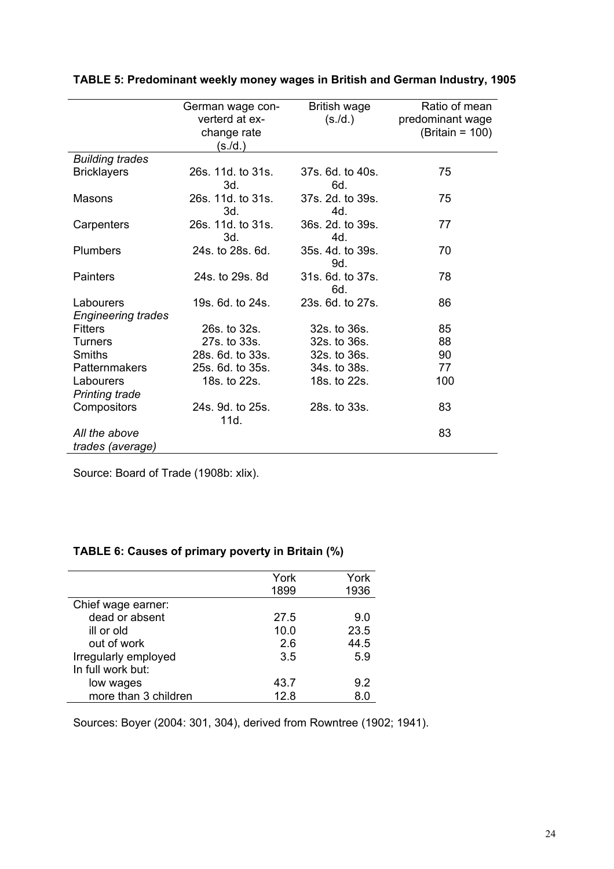|                           | German wage con-  | <b>British wage</b> | Ratio of mean    |
|---------------------------|-------------------|---------------------|------------------|
|                           | verterd at ex-    | (s./d.)             | predominant wage |
|                           | change rate       |                     | (Britain = 100)  |
|                           | (s./d.)           |                     |                  |
| <b>Building trades</b>    |                   |                     |                  |
| <b>Bricklayers</b>        | 26s. 11d. to 31s. | 37s, 6d, to 40s.    | 75               |
|                           | 3d.               | 6d.                 |                  |
| Masons                    | 26s. 11d. to 31s. | 37s. 2d. to 39s.    | 75               |
|                           | 3d.               | 4d.                 |                  |
| Carpenters                | 26s. 11d. to 31s. | 36s, 2d, to 39s.    | 77               |
|                           | 3d.               | 4d.                 |                  |
| <b>Plumbers</b>           | 24s. to 28s. 6d.  | 35s, 4d, to 39s.    | 70               |
|                           |                   | 9d.                 |                  |
| <b>Painters</b>           | 24s. to 29s. 8d   | 31s. 6d. to 37s.    | 78               |
|                           |                   | 6d.                 |                  |
| Labourers                 | 19s. 6d. to 24s.  | 23s. 6d. to 27s.    | 86               |
| <b>Engineering trades</b> |                   |                     |                  |
| <b>Fitters</b>            | 26s. to 32s.      | 32s. to 36s.        | 85               |
| <b>Turners</b>            | 27s. to 33s.      | 32s. to 36s.        | 88               |
| Smiths                    | 28s. 6d. to 33s.  | 32s. to 36s.        | 90               |
| <b>Patternmakers</b>      | 25s. 6d. to 35s.  | 34s. to 38s.        | 77               |
| Labourers                 | 18s. to 22s.      | 18s. to 22s.        | 100              |
| <b>Printing trade</b>     |                   |                     |                  |
| Compositors               | 24s. 9d. to 25s.  | 28s. to 33s.        | 83               |
|                           | 11d.              |                     |                  |
| All the above             |                   |                     | 83               |
| trades (average)          |                   |                     |                  |

### **TABLE 5: Predominant weekly money wages in British and German Industry, 1905**

Source: Board of Trade (1908b: xlix).

### **TABLE 6: Causes of primary poverty in Britain (%)**

|                      | York | York |
|----------------------|------|------|
|                      | 1899 | 1936 |
| Chief wage earner:   |      |      |
| dead or absent       | 27.5 | 9.0  |
| ill or old           | 10.0 | 23.5 |
| out of work          | 2.6  | 44.5 |
| Irregularly employed | 3.5  | 5.9  |
| In full work but:    |      |      |
| low wages            | 43.7 | 9.2  |
| more than 3 children | 12.8 | 8.0  |

Sources: Boyer (2004: 301, 304), derived from Rowntree (1902; 1941).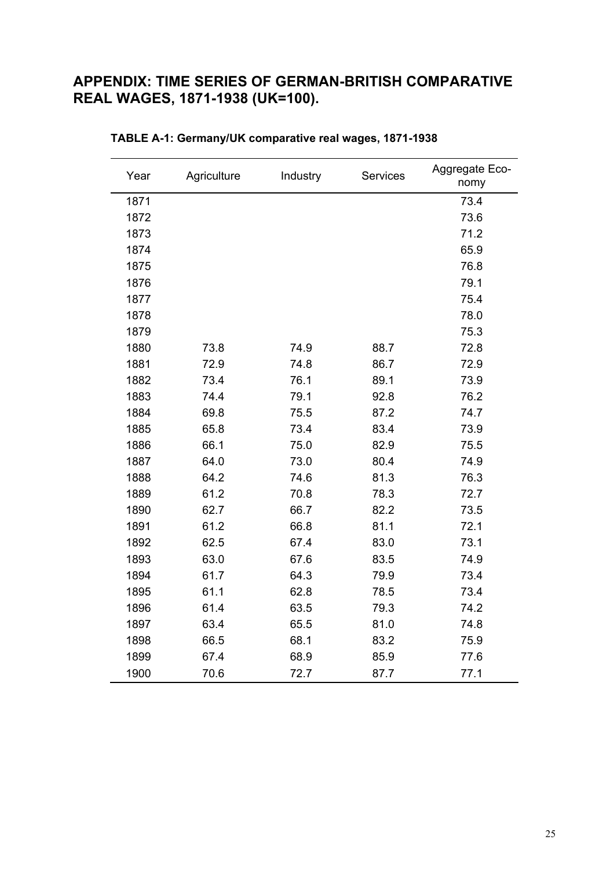# **APPENDIX: TIME SERIES OF GERMAN-BRITISH COMPARATIVE REAL WAGES, 1871-1938 (UK=100).**

| Year | Agriculture | Industry | Services | Aggregate Eco-<br>nomy |
|------|-------------|----------|----------|------------------------|
| 1871 |             |          |          | 73.4                   |
| 1872 |             |          |          | 73.6                   |
| 1873 |             |          |          | 71.2                   |
| 1874 |             |          |          | 65.9                   |
| 1875 |             |          |          | 76.8                   |
| 1876 |             |          |          | 79.1                   |
| 1877 |             |          |          | 75.4                   |
| 1878 |             |          |          | 78.0                   |
| 1879 |             |          |          | 75.3                   |
| 1880 | 73.8        | 74.9     | 88.7     | 72.8                   |
| 1881 | 72.9        | 74.8     | 86.7     | 72.9                   |
| 1882 | 73.4        | 76.1     | 89.1     | 73.9                   |
| 1883 | 74.4        | 79.1     | 92.8     | 76.2                   |
| 1884 | 69.8        | 75.5     | 87.2     | 74.7                   |
| 1885 | 65.8        | 73.4     | 83.4     | 73.9                   |
| 1886 | 66.1        | 75.0     | 82.9     | 75.5                   |
| 1887 | 64.0        | 73.0     | 80.4     | 74.9                   |
| 1888 | 64.2        | 74.6     | 81.3     | 76.3                   |
| 1889 | 61.2        | 70.8     | 78.3     | 72.7                   |
| 1890 | 62.7        | 66.7     | 82.2     | 73.5                   |
| 1891 | 61.2        | 66.8     | 81.1     | 72.1                   |
| 1892 | 62.5        | 67.4     | 83.0     | 73.1                   |
| 1893 | 63.0        | 67.6     | 83.5     | 74.9                   |
| 1894 | 61.7        | 64.3     | 79.9     | 73.4                   |
| 1895 | 61.1        | 62.8     | 78.5     | 73.4                   |
| 1896 | 61.4        | 63.5     | 79.3     | 74.2                   |
| 1897 | 63.4        | 65.5     | 81.0     | 74.8                   |
| 1898 | 66.5        | 68.1     | 83.2     | 75.9                   |
| 1899 | 67.4        | 68.9     | 85.9     | 77.6                   |
| 1900 | 70.6        | 72.7     | 87.7     | 77.1                   |

# **TABLE A-1: Germany/UK comparative real wages, 1871-1938**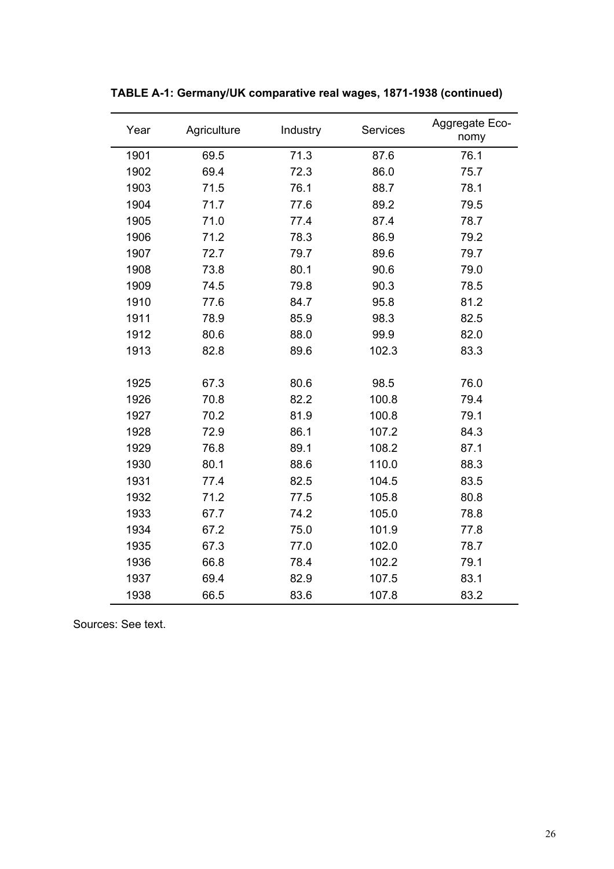| Year | Agriculture | Industry | <b>Services</b> | Aggregate Eco-<br>nomy |
|------|-------------|----------|-----------------|------------------------|
| 1901 | 69.5        | 71.3     | 87.6            | 76.1                   |
| 1902 | 69.4        | 72.3     | 86.0            | 75.7                   |
| 1903 | 71.5        | 76.1     | 88.7            | 78.1                   |
| 1904 | 71.7        | 77.6     | 89.2            | 79.5                   |
| 1905 | 71.0        | 77.4     | 87.4            | 78.7                   |
| 1906 | 71.2        | 78.3     | 86.9            | 79.2                   |
| 1907 | 72.7        | 79.7     | 89.6            | 79.7                   |
| 1908 | 73.8        | 80.1     | 90.6            | 79.0                   |
| 1909 | 74.5        | 79.8     | 90.3            | 78.5                   |
| 1910 | 77.6        | 84.7     | 95.8            | 81.2                   |
| 1911 | 78.9        | 85.9     | 98.3            | 82.5                   |
| 1912 | 80.6        | 88.0     | 99.9            | 82.0                   |
| 1913 | 82.8        | 89.6     | 102.3           | 83.3                   |
|      |             |          |                 |                        |
| 1925 | 67.3        | 80.6     | 98.5            | 76.0                   |
| 1926 | 70.8        | 82.2     | 100.8           | 79.4                   |
| 1927 | 70.2        | 81.9     | 100.8           | 79.1                   |
| 1928 | 72.9        | 86.1     | 107.2           | 84.3                   |
| 1929 | 76.8        | 89.1     | 108.2           | 87.1                   |
| 1930 | 80.1        | 88.6     | 110.0           | 88.3                   |
| 1931 | 77.4        | 82.5     | 104.5           | 83.5                   |
| 1932 | 71.2        | 77.5     | 105.8           | 80.8                   |
| 1933 | 67.7        | 74.2     | 105.0           | 78.8                   |
| 1934 | 67.2        | 75.0     | 101.9           | 77.8                   |
| 1935 | 67.3        | 77.0     | 102.0           | 78.7                   |
| 1936 | 66.8        | 78.4     | 102.2           | 79.1                   |
| 1937 | 69.4        | 82.9     | 107.5           | 83.1                   |
| 1938 | 66.5        | 83.6     | 107.8           | 83.2                   |

**TABLE A-1: Germany/UK comparative real wages, 1871-1938 (continued)** 

Sources: See text.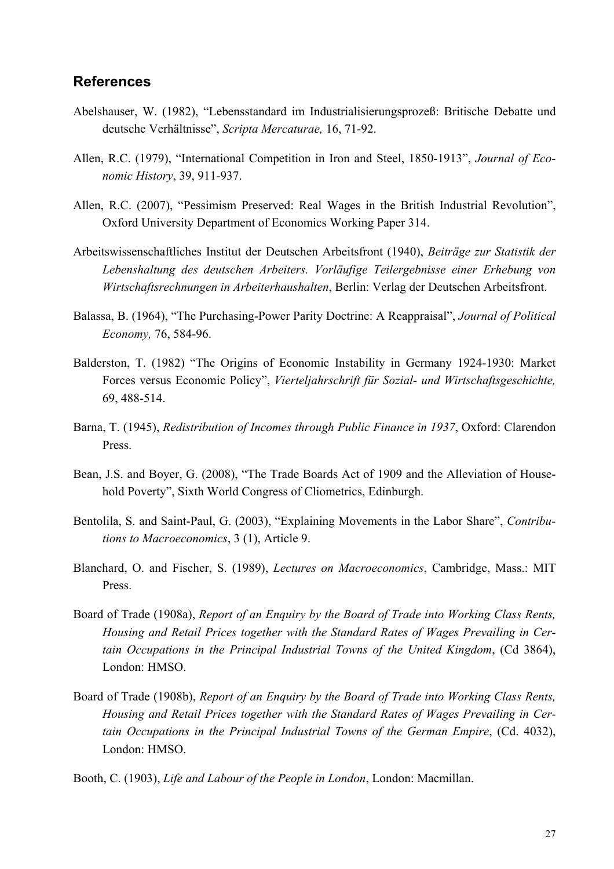### **References**

- Abelshauser, W. (1982), "Lebensstandard im Industrialisierungsprozeß: Britische Debatte und deutsche Verhältnisse", *Scripta Mercaturae,* 16, 71-92.
- Allen, R.C. (1979), "International Competition in Iron and Steel, 1850-1913", *Journal of Economic History*, 39, 911-937.
- Allen, R.C. (2007), "Pessimism Preserved: Real Wages in the British Industrial Revolution", Oxford University Department of Economics Working Paper 314.
- Arbeitswissenschaftliches Institut der Deutschen Arbeitsfront (1940), *Beiträge zur Statistik der Lebenshaltung des deutschen Arbeiters. Vorläufige Teilergebnisse einer Erhebung von Wirtschaftsrechnungen in Arbeiterhaushalten*, Berlin: Verlag der Deutschen Arbeitsfront.
- Balassa, B. (1964), "The Purchasing-Power Parity Doctrine: A Reappraisal", *Journal of Political Economy,* 76, 584-96.
- Balderston, T. (1982) "The Origins of Economic Instability in Germany 1924-1930: Market Forces versus Economic Policy", *Vierteljahrschrift für Sozial- und Wirtschaftsgeschichte,*  69, 488-514.
- Barna, T. (1945), *Redistribution of Incomes through Public Finance in 1937*, Oxford: Clarendon Press.
- Bean, J.S. and Boyer, G. (2008), "The Trade Boards Act of 1909 and the Alleviation of Household Poverty", Sixth World Congress of Cliometrics, Edinburgh.
- Bentolila, S. and Saint-Paul, G. (2003), "Explaining Movements in the Labor Share", *Contributions to Macroeconomics*, 3 (1), Article 9.
- Blanchard, O. and Fischer, S. (1989), *Lectures on Macroeconomics*, Cambridge, Mass.: MIT Press.
- Board of Trade (1908a), *Report of an Enquiry by the Board of Trade into Working Class Rents, Housing and Retail Prices together with the Standard Rates of Wages Prevailing in Certain Occupations in the Principal Industrial Towns of the United Kingdom*, (Cd 3864), London: HMSO.
- Board of Trade (1908b), *Report of an Enquiry by the Board of Trade into Working Class Rents, Housing and Retail Prices together with the Standard Rates of Wages Prevailing in Certain Occupations in the Principal Industrial Towns of the German Empire*, (Cd. 4032), London: HMSO.
- Booth, C. (1903), *Life and Labour of the People in London*, London: Macmillan.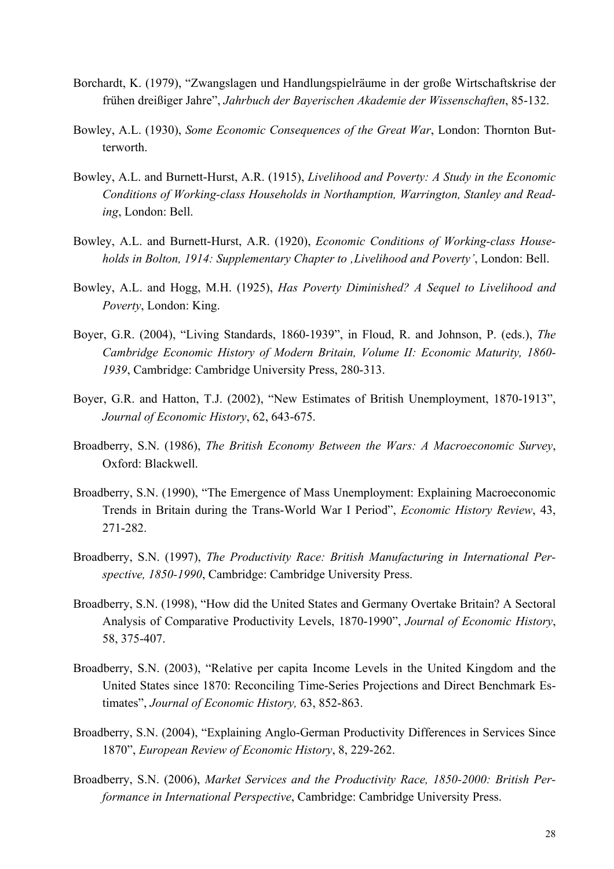- Borchardt, K. (1979), "Zwangslagen und Handlungspielräume in der große Wirtschaftskrise der frühen dreißiger Jahre", *Jahrbuch der Bayerischen Akademie der Wissenschaften*, 85-132.
- Bowley, A.L. (1930), *Some Economic Consequences of the Great War*, London: Thornton Butterworth.
- Bowley, A.L. and Burnett-Hurst, A.R. (1915), *Livelihood and Poverty: A Study in the Economic Conditions of Working-class Households in Northamption, Warrington, Stanley and Reading*, London: Bell.
- Bowley, A.L. and Burnett-Hurst, A.R. (1920), *Economic Conditions of Working-class Households in Bolton, 1914: Supplementary Chapter to 'Livelihood and Poverty'*, London: Bell.
- Bowley, A.L. and Hogg, M.H. (1925), *Has Poverty Diminished? A Sequel to Livelihood and Poverty*, London: King.
- Boyer, G.R. (2004), "Living Standards, 1860-1939", in Floud, R. and Johnson, P. (eds.), *The Cambridge Economic History of Modern Britain, Volume II: Economic Maturity, 1860- 1939*, Cambridge: Cambridge University Press, 280-313.
- Boyer, G.R. and Hatton, T.J. (2002), "New Estimates of British Unemployment, 1870-1913", *Journal of Economic History*, 62, 643-675.
- Broadberry, S.N. (1986), *The British Economy Between the Wars: A Macroeconomic Survey*, Oxford: Blackwell.
- Broadberry, S.N. (1990), "The Emergence of Mass Unemployment: Explaining Macroeconomic Trends in Britain during the Trans-World War I Period", *Economic History Review*, 43, 271-282.
- Broadberry, S.N. (1997), *The Productivity Race: British Manufacturing in International Perspective, 1850-1990*, Cambridge: Cambridge University Press.
- Broadberry, S.N. (1998), "How did the United States and Germany Overtake Britain? A Sectoral Analysis of Comparative Productivity Levels, 1870-1990", *Journal of Economic History*, 58, 375-407.
- Broadberry, S.N. (2003), "Relative per capita Income Levels in the United Kingdom and the United States since 1870: Reconciling Time-Series Projections and Direct Benchmark Estimates", *Journal of Economic History,* 63, 852-863.
- Broadberry, S.N. (2004), "Explaining Anglo-German Productivity Differences in Services Since 1870", *European Review of Economic History*, 8, 229-262.
- Broadberry, S.N. (2006), *Market Services and the Productivity Race, 1850-2000: British Performance in International Perspective*, Cambridge: Cambridge University Press.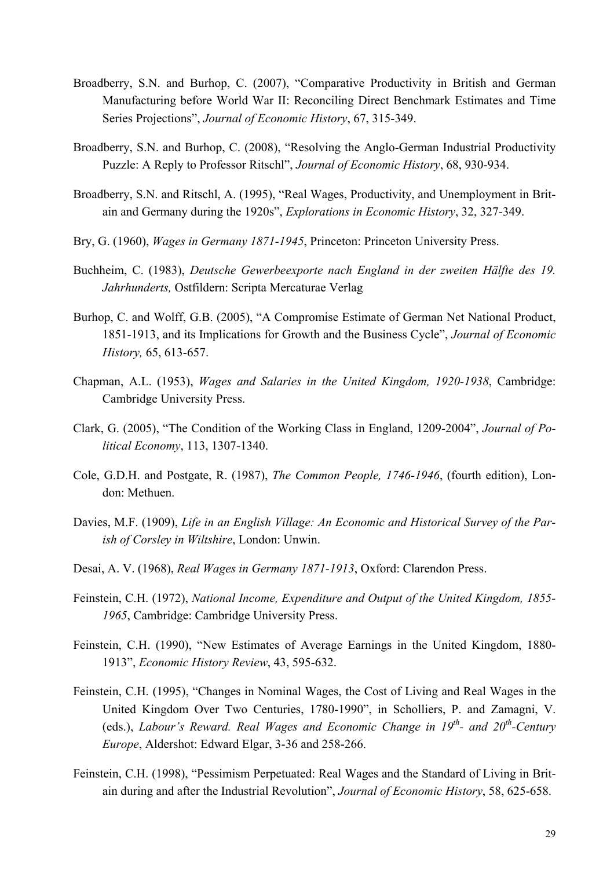- Broadberry, S.N. and Burhop, C. (2007), "Comparative Productivity in British and German Manufacturing before World War II: Reconciling Direct Benchmark Estimates and Time Series Projections", *Journal of Economic History*, 67, 315-349.
- Broadberry, S.N. and Burhop, C. (2008), "Resolving the Anglo-German Industrial Productivity Puzzle: A Reply to Professor Ritschl", *Journal of Economic History*, 68, 930-934.
- Broadberry, S.N. and Ritschl, A. (1995), "Real Wages, Productivity, and Unemployment in Britain and Germany during the 1920s", *Explorations in Economic History*, 32, 327-349.
- Bry, G. (1960), *Wages in Germany 1871-1945*, Princeton: Princeton University Press.
- Buchheim, C. (1983), *Deutsche Gewerbeexporte nach England in der zweiten Hälfte des 19. Jahrhunderts,* Ostfildern: Scripta Mercaturae Verlag
- Burhop, C. and Wolff, G.B. (2005), "A Compromise Estimate of German Net National Product, 1851-1913, and its Implications for Growth and the Business Cycle", *Journal of Economic History,* 65, 613-657.
- Chapman, A.L. (1953), *Wages and Salaries in the United Kingdom, 1920-1938*, Cambridge: Cambridge University Press.
- Clark, G. (2005), "The Condition of the Working Class in England, 1209-2004", *Journal of Political Economy*, 113, 1307-1340.
- Cole, G.D.H. and Postgate, R. (1987), *The Common People, 1746-1946*, (fourth edition), London: Methuen.
- Davies, M.F. (1909), *Life in an English Village: An Economic and Historical Survey of the Parish of Corsley in Wiltshire*, London: Unwin.
- Desai, A. V. (1968), *Real Wages in Germany 1871-1913*, Oxford: Clarendon Press.
- Feinstein, C.H. (1972), *National Income, Expenditure and Output of the United Kingdom, 1855- 1965*, Cambridge: Cambridge University Press.
- Feinstein, C.H. (1990), "New Estimates of Average Earnings in the United Kingdom, 1880- 1913", *Economic History Review*, 43, 595-632.
- Feinstein, C.H. (1995), "Changes in Nominal Wages, the Cost of Living and Real Wages in the United Kingdom Over Two Centuries, 1780-1990", in Scholliers, P. and Zamagni, V. (eds.), *Labour's Reward. Real Wages and Economic Change in 19<sup>th</sup>- and 20<sup>th</sup>-Century Europe*, Aldershot: Edward Elgar, 3-36 and 258-266.
- Feinstein, C.H. (1998), "Pessimism Perpetuated: Real Wages and the Standard of Living in Britain during and after the Industrial Revolution", *Journal of Economic History*, 58, 625-658.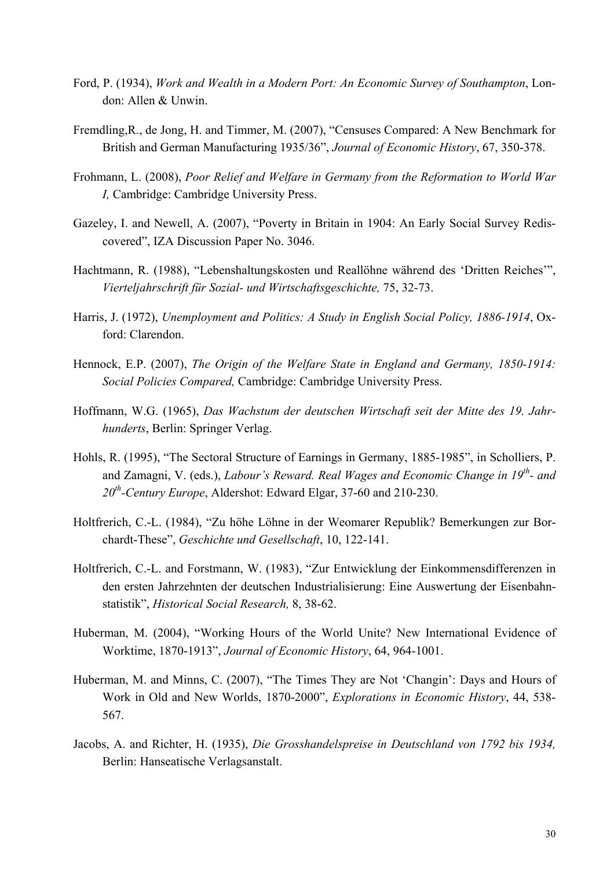- Ford, P. (1934), *Work and Wealth in a Modern Port: An Economic Survey of Southampton*, London: Allen & Unwin.
- Fremdling,R., de Jong, H. and Timmer, M. (2007), "Censuses Compared: A New Benchmark for British and German Manufacturing 1935/36", *Journal of Economic History*, 67, 350-378.
- Frohmann, L. (2008), *Poor Relief and Welfare in Germany from the Reformation to World War I,* Cambridge: Cambridge University Press.
- Gazeley, I. and Newell, A. (2007), "Poverty in Britain in 1904: An Early Social Survey Rediscovered", IZA Discussion Paper No. 3046.
- Hachtmann, R. (1988), "Lebenshaltungskosten und Reallöhne während des 'Dritten Reiches'", *Vierteljahrschrift für Sozial- und Wirtschaftsgeschichte,* 75, 32-73.
- Harris, J. (1972), *Unemployment and Politics: A Study in English Social Policy, 1886-1914*, Oxford: Clarendon.
- Hennock, E.P. (2007), *The Origin of the Welfare State in England and Germany, 1850-1914: Social Policies Compared,* Cambridge: Cambridge University Press.
- Hoffmann, W.G. (1965), *Das Wachstum der deutschen Wirtschaft seit der Mitte des 19. Jahrhunderts*, Berlin: Springer Verlag.
- Hohls, R. (1995), "The Sectoral Structure of Earnings in Germany, 1885-1985", in Scholliers, P. and Zamagni, V. (eds.), *Labour's Reward. Real Wages and Economic Change in 19th- and 20th-Century Europe*, Aldershot: Edward Elgar, 37-60 and 210-230.
- Holtfrerich, C.-L. (1984), "Zu höhe Löhne in der Weomarer Republik? Bemerkungen zur Borchardt-These", *Geschichte und Gesellschaft*, 10, 122-141.
- Holtfrerich, C.-L. and Forstmann, W. (1983), "Zur Entwicklung der Einkommensdifferenzen in den ersten Jahrzehnten der deutschen Industrialisierung: Eine Auswertung der Eisenbahnstatistik", *Historical Social Research,* 8, 38-62.
- Huberman, M. (2004), "Working Hours of the World Unite? New International Evidence of Worktime, 1870-1913", *Journal of Economic History*, 64, 964-1001.
- Huberman, M. and Minns, C. (2007), "The Times They are Not 'Changin': Days and Hours of Work in Old and New Worlds, 1870-2000", *Explorations in Economic History*, 44, 538- 567.
- Jacobs, A. and Richter, H. (1935), *Die Grosshandelspreise in Deutschland von 1792 bis 1934,* Berlin: Hanseatische Verlagsanstalt.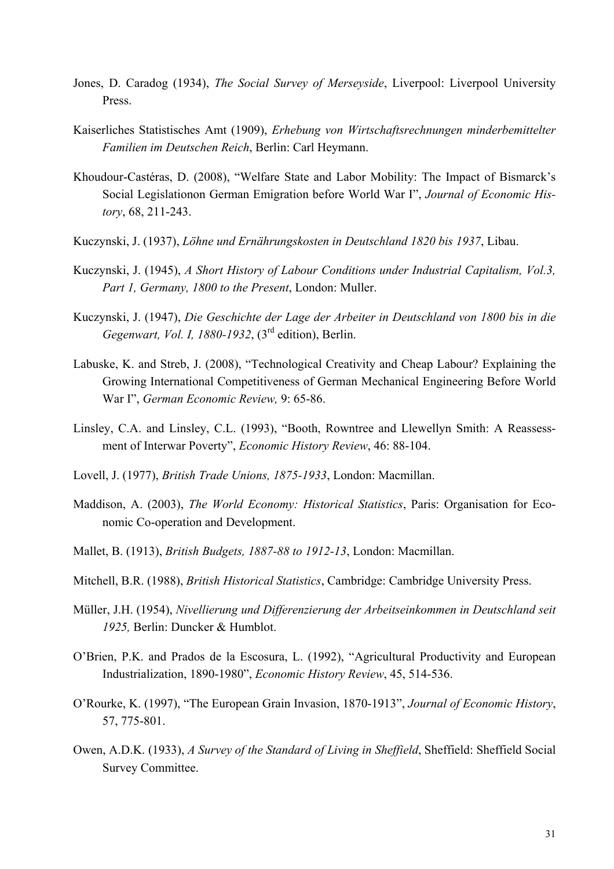- Jones, D. Caradog (1934), *The Social Survey of Merseyside*, Liverpool: Liverpool University Press.
- Kaiserliches Statistisches Amt (1909), *Erhebung von Wirtschaftsrechnungen minderbemittelter Familien im Deutschen Reich*, Berlin: Carl Heymann.
- Khoudour-Castéras, D. (2008), "Welfare State and Labor Mobility: The Impact of Bismarck's Social Legislationon German Emigration before World War I", *Journal of Economic History*, 68, 211-243.
- Kuczynski, J. (1937), *Löhne und Ernährungskosten in Deutschland 1820 bis 1937*, Libau.
- Kuczynski, J. (1945), *A Short History of Labour Conditions under Industrial Capitalism, Vol.3, Part 1, Germany, 1800 to the Present*, London: Muller.
- Kuczynski, J. (1947), *Die Geschichte der Lage der Arbeiter in Deutschland von 1800 bis in die Gegenwart, Vol. I, 1880-1932*, (3rd edition), Berlin.
- Labuske, K. and Streb, J. (2008), "Technological Creativity and Cheap Labour? Explaining the Growing International Competitiveness of German Mechanical Engineering Before World War I", *German Economic Review,* 9: 65-86.
- Linsley, C.A. and Linsley, C.L. (1993), "Booth, Rowntree and Llewellyn Smith: A Reassessment of Interwar Poverty", *Economic History Review*, 46: 88-104.
- Lovell, J. (1977), *British Trade Unions, 1875-1933*, London: Macmillan.
- Maddison, A. (2003), *The World Economy: Historical Statistics*, Paris: Organisation for Economic Co-operation and Development.
- Mallet, B. (1913), *British Budgets, 1887-88 to 1912-13*, London: Macmillan.
- Mitchell, B.R. (1988), *British Historical Statistics*, Cambridge: Cambridge University Press.
- Müller, J.H. (1954), *Nivellierung und Differenzierung der Arbeitseinkommen in Deutschland seit 1925,* Berlin: Duncker & Humblot.
- O'Brien, P.K. and Prados de la Escosura, L. (1992), "Agricultural Productivity and European Industrialization, 1890-1980", *Economic History Review*, 45, 514-536.
- O'Rourke, K. (1997), "The European Grain Invasion, 1870-1913", *Journal of Economic History*, 57, 775-801.
- Owen, A.D.K. (1933), *A Survey of the Standard of Living in Sheffield*, Sheffield: Sheffield Social Survey Committee.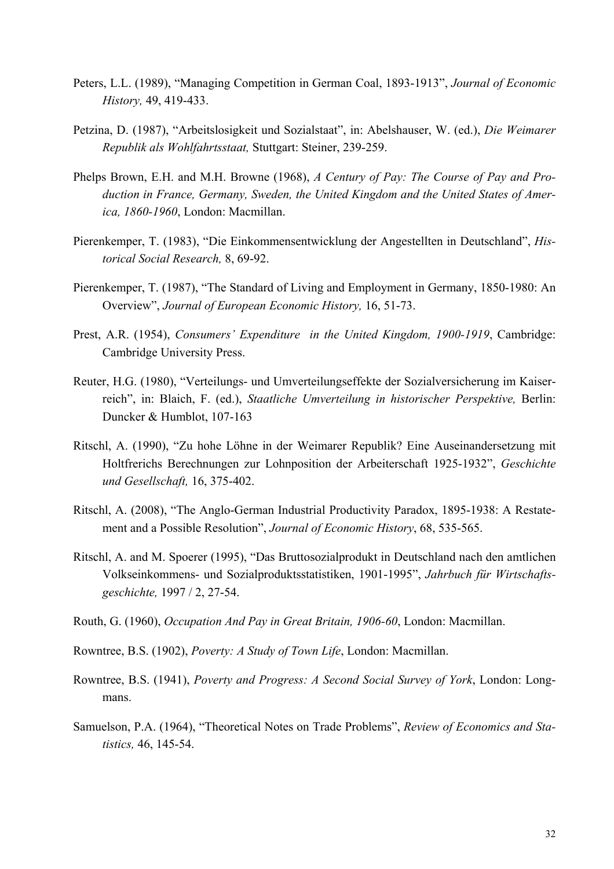- Peters, L.L. (1989), "Managing Competition in German Coal, 1893-1913", *Journal of Economic History,* 49, 419-433.
- Petzina, D. (1987), "Arbeitslosigkeit und Sozialstaat", in: Abelshauser, W. (ed.), *Die Weimarer Republik als Wohlfahrtsstaat,* Stuttgart: Steiner, 239-259.
- Phelps Brown, E.H. and M.H. Browne (1968), *A Century of Pay: The Course of Pay and Production in France, Germany, Sweden, the United Kingdom and the United States of America, 1860-1960*, London: Macmillan.
- Pierenkemper, T. (1983), "Die Einkommensentwicklung der Angestellten in Deutschland", *Historical Social Research,* 8, 69-92.
- Pierenkemper, T. (1987), "The Standard of Living and Employment in Germany, 1850-1980: An Overview", *Journal of European Economic History,* 16, 51-73.
- Prest, A.R. (1954), *Consumers' Expenditure in the United Kingdom, 1900-1919*, Cambridge: Cambridge University Press.
- Reuter, H.G. (1980), "Verteilungs- und Umverteilungseffekte der Sozialversicherung im Kaiserreich", in: Blaich, F. (ed.), *Staatliche Umverteilung in historischer Perspektive,* Berlin: Duncker & Humblot, 107-163
- Ritschl, A. (1990), "Zu hohe Löhne in der Weimarer Republik? Eine Auseinandersetzung mit Holtfrerichs Berechnungen zur Lohnposition der Arbeiterschaft 1925-1932", *Geschichte und Gesellschaft,* 16, 375-402.
- Ritschl, A. (2008), "The Anglo-German Industrial Productivity Paradox, 1895-1938: A Restatement and a Possible Resolution", *Journal of Economic History*, 68, 535-565.
- Ritschl, A. and M. Spoerer (1995), "Das Bruttosozialprodukt in Deutschland nach den amtlichen Volkseinkommens- und Sozialproduktsstatistiken, 1901-1995", *Jahrbuch für Wirtschaftsgeschichte,* 1997 / 2, 27-54.
- Routh, G. (1960), *Occupation And Pay in Great Britain, 1906-60*, London: Macmillan.
- Rowntree, B.S. (1902), *Poverty: A Study of Town Life*, London: Macmillan.
- Rowntree, B.S. (1941), *Poverty and Progress: A Second Social Survey of York*, London: Longmans.
- Samuelson, P.A. (1964), "Theoretical Notes on Trade Problems", *Review of Economics and Statistics,* 46, 145-54.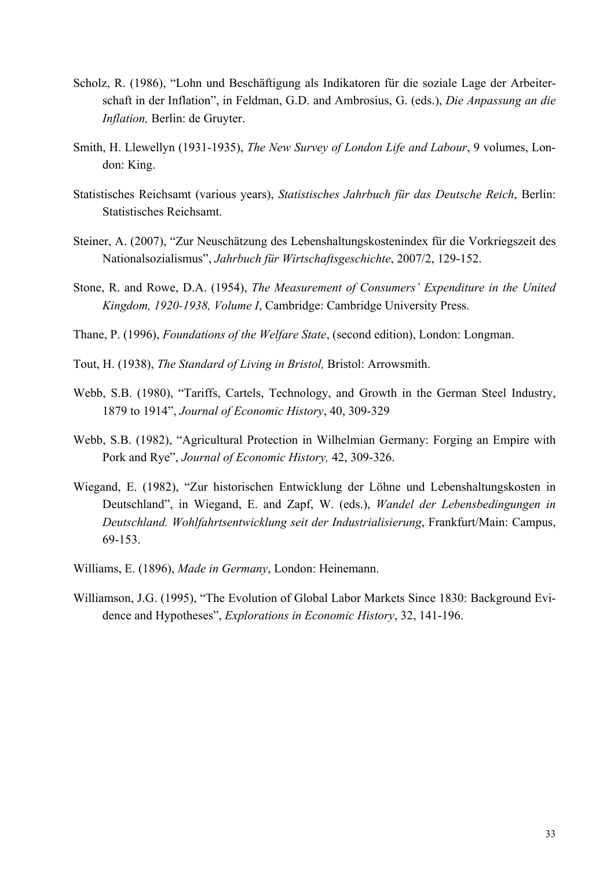- Scholz, R. (1986), "Lohn und Beschäftigung als Indikatoren für die soziale Lage der Arbeiterschaft in der Inflation", in Feldman, G.D. and Ambrosius, G. (eds.), *Die Anpassung an die Inflation,* Berlin: de Gruyter.
- Smith, H. Llewellyn (1931-1935), *The New Survey of London Life and Labour*, 9 volumes, London: King.
- Statistisches Reichsamt (various years), *Statistisches Jahrbuch für das Deutsche Reich*, Berlin: Statistisches Reichsamt.
- Steiner, A. (2007), "Zur Neuschätzung des Lebenshaltungskostenindex für die Vorkriegszeit des Nationalsozialismus", *Jahrbuch für Wirtschaftsgeschichte*, 2007/2, 129-152.
- Stone, R. and Rowe, D.A. (1954), *The Measurement of Consumers' Expenditure in the United Kingdom, 1920-1938, Volume I*, Cambridge: Cambridge University Press.
- Thane, P. (1996), *Foundations of the Welfare State*, (second edition), London: Longman.
- Tout, H. (1938), *The Standard of Living in Bristol,* Bristol: Arrowsmith.
- Webb, S.B. (1980), "Tariffs, Cartels, Technology, and Growth in the German Steel Industry, 1879 to 1914", *Journal of Economic History*, 40, 309-329
- Webb, S.B. (1982), "Agricultural Protection in Wilhelmian Germany: Forging an Empire with Pork and Rye", *Journal of Economic History,* 42, 309-326.
- Wiegand, E. (1982), "Zur historischen Entwicklung der Löhne und Lebenshaltungskosten in Deutschland", in Wiegand, E. and Zapf, W. (eds.), *Wandel der Lebensbedingungen in Deutschland. Wohlfahrtsentwicklung seit der Industrialisierung*, Frankfurt/Main: Campus, 69-153.
- Williams, E. (1896), *Made in Germany*, London: Heinemann.
- Williamson, J.G. (1995), "The Evolution of Global Labor Markets Since 1830: Background Evidence and Hypotheses", *Explorations in Economic History*, 32, 141-196.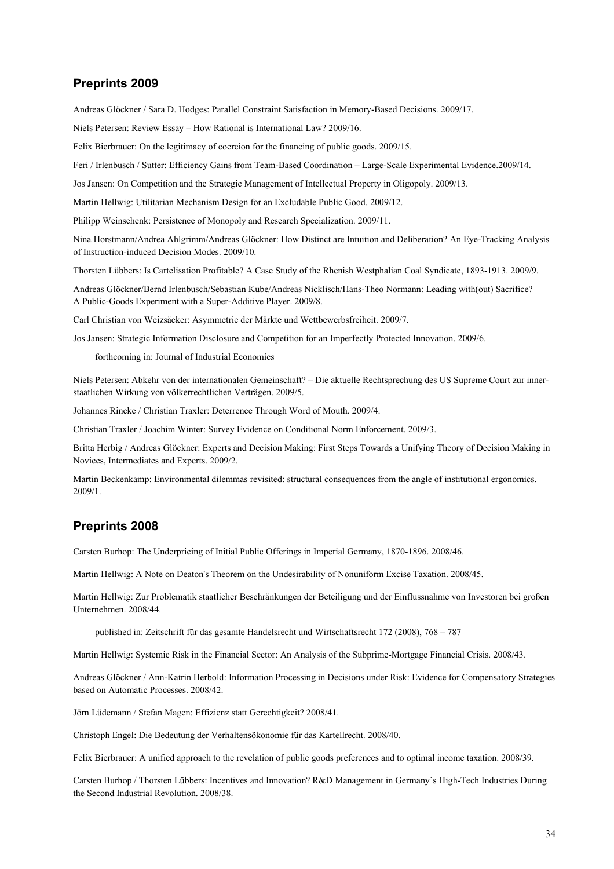#### **Preprints 2009**

Andreas Glöckner / Sara D. Hodges: Parallel Constraint Satisfaction in Memory-Based Decisions. 2009/17.

Niels Petersen: Review Essay – How Rational is International Law? 2009/16.

Felix Bierbrauer: On the legitimacy of coercion for the financing of public goods. 2009/15.

Feri / Irlenbusch / Sutter: Efficiency Gains from Team-Based Coordination – Large-Scale Experimental Evidence.2009/14.

Jos Jansen: On Competition and the Strategic Management of Intellectual Property in Oligopoly. 2009/13.

Martin Hellwig: Utilitarian Mechanism Design for an Excludable Public Good. 2009/12.

Philipp Weinschenk: Persistence of Monopoly and Research Specialization. 2009/11.

Nina Horstmann/Andrea Ahlgrimm/Andreas Glöckner: How Distinct are Intuition and Deliberation? An Eye-Tracking Analysis of Instruction-induced Decision Modes. 2009/10.

Thorsten Lübbers: Is Cartelisation Profitable? A Case Study of the Rhenish Westphalian Coal Syndicate, 1893-1913. 2009/9.

Andreas Glöckner/Bernd Irlenbusch/Sebastian Kube/Andreas Nicklisch/Hans-Theo Normann: Leading with(out) Sacrifice? A Public-Goods Experiment with a Super-Additive Player. 2009/8.

Carl Christian von Weizsäcker: Asymmetrie der Märkte und Wettbewerbsfreiheit. 2009/7.

Jos Jansen: Strategic Information Disclosure and Competition for an Imperfectly Protected Innovation. 2009/6.

forthcoming in: Journal of Industrial Economics

Niels Petersen: Abkehr von der internationalen Gemeinschaft? – Die aktuelle Rechtsprechung des US Supreme Court zur innerstaatlichen Wirkung von völkerrechtlichen Verträgen. 2009/5.

Johannes Rincke / Christian Traxler: Deterrence Through Word of Mouth. 2009/4.

Christian Traxler / Joachim Winter: Survey Evidence on Conditional Norm Enforcement. 2009/3.

Britta Herbig / Andreas Glöckner: Experts and Decision Making: First Steps Towards a Unifying Theory of Decision Making in Novices, Intermediates and Experts. 2009/2.

Martin Beckenkamp: Environmental dilemmas revisited: structural consequences from the angle of institutional ergonomics. 2009/1.

#### **Preprints 2008**

Carsten Burhop: The Underpricing of Initial Public Offerings in Imperial Germany, 1870-1896. 2008/46.

Martin Hellwig: A Note on Deaton's Theorem on the Undesirability of Nonuniform Excise Taxation. 2008/45.

Martin Hellwig: Zur Problematik staatlicher Beschränkungen der Beteiligung und der Einflussnahme von Investoren bei großen Unternehmen. 2008/44.

published in: Zeitschrift für das gesamte Handelsrecht und Wirtschaftsrecht 172 (2008), 768 – 787

Martin Hellwig: Systemic Risk in the Financial Sector: An Analysis of the Subprime-Mortgage Financial Crisis. 2008/43.

Andreas Glöckner / Ann-Katrin Herbold: Information Processing in Decisions under Risk: Evidence for Compensatory Strategies based on Automatic Processes. 2008/42.

Jörn Lüdemann / Stefan Magen: Effizienz statt Gerechtigkeit? 2008/41.

Christoph Engel: Die Bedeutung der Verhaltensökonomie für das Kartellrecht. 2008/40.

Felix Bierbrauer: A unified approach to the revelation of public goods preferences and to optimal income taxation. 2008/39.

Carsten Burhop / Thorsten Lübbers: Incentives and Innovation? R&D Management in Germany's High-Tech Industries During the Second Industrial Revolution. 2008/38.